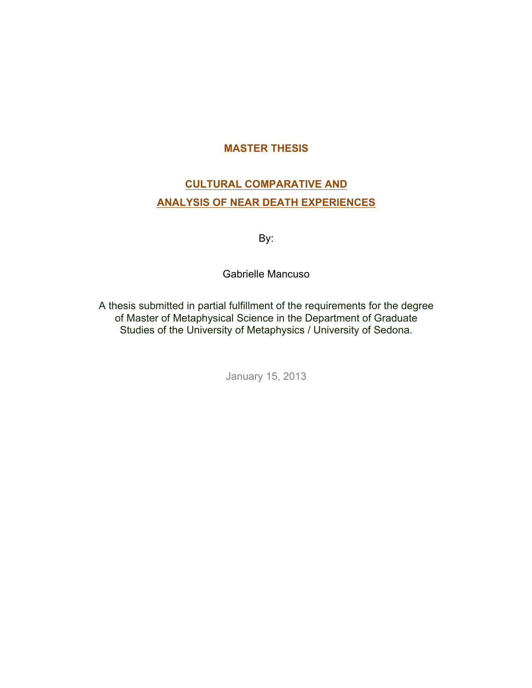## **MASTER THESIS**

# **CULTURAL COMPARATIVE AND ANALYSIS OF NEAR DEATH EXPERIENCES**

By:

Gabrielle Mancuso

A thesis submitted in partial fulfillment of the requirements for the degree of Master of Metaphysical Science in the Department of Graduate Studies of the University of Metaphysics / University of Sedona.

January 15, 2013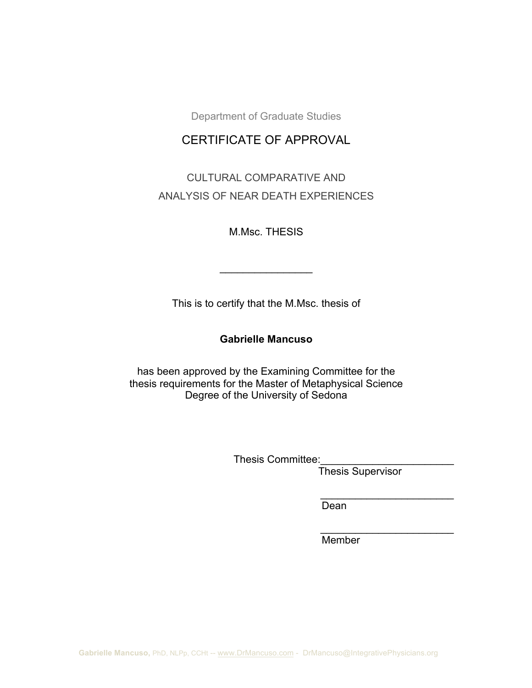Department of Graduate Studies

## CERTIFICATE OF APPROVAL

CULTURAL COMPARATIVE AND ANALYSIS OF NEAR DEATH EXPERIENCES

M.Msc. THESIS

 $\frac{1}{2}$ 

This is to certify that the M.Msc. thesis of

### **Gabrielle Mancuso**

has been approved by the Examining Committee for the thesis requirements for the Master of Metaphysical Science Degree of the University of Sedona

Thesis Committee:

Thesis Supervisor……………

 $\frac{1}{2}$  ,  $\frac{1}{2}$  ,  $\frac{1}{2}$  ,  $\frac{1}{2}$  ,  $\frac{1}{2}$  ,  $\frac{1}{2}$  ,  $\frac{1}{2}$  ,  $\frac{1}{2}$  ,  $\frac{1}{2}$  ,  $\frac{1}{2}$  ,  $\frac{1}{2}$  ,  $\frac{1}{2}$  ,  $\frac{1}{2}$  ,  $\frac{1}{2}$  ,  $\frac{1}{2}$  ,  $\frac{1}{2}$  ,  $\frac{1}{2}$  ,  $\frac{1}{2}$  ,  $\frac{1$ 

 $\_$ 

Dean………………………….

Member………………………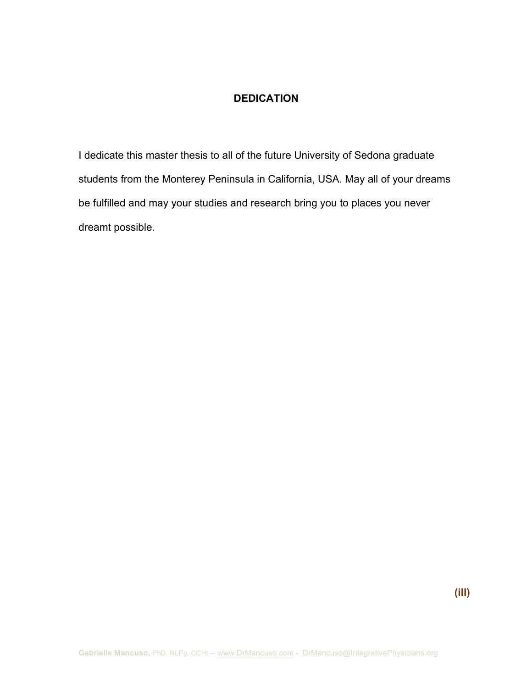## **DEDICATION**

I dedicate this master thesis to all of the future University of Sedona graduate students from the Monterey Peninsula in California, USA. May all of your dreams be fulfilled and may your studies and research bring you to places you never dreamt possible.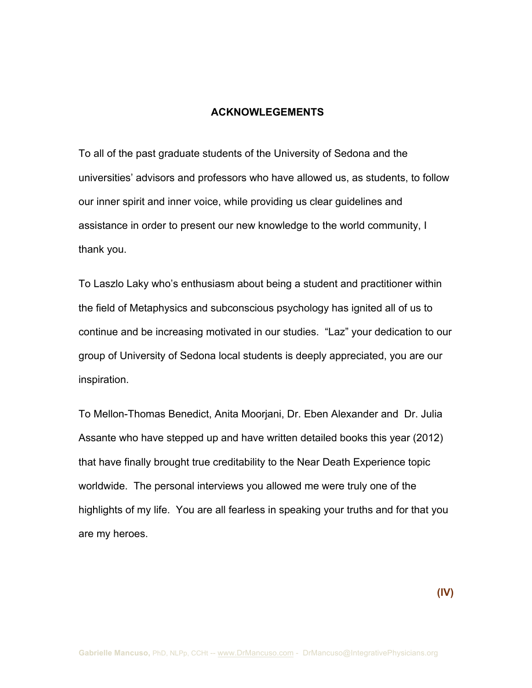### **ACKNOWLEGEMENTS**

To all of the past graduate students of the University of Sedona and the universities' advisors and professors who have allowed us, as students, to follow our inner spirit and inner voice, while providing us clear guidelines and assistance in order to present our new knowledge to the world community, I thank you.

To Laszlo Laky who's enthusiasm about being a student and practitioner within the field of Metaphysics and subconscious psychology has ignited all of us to continue and be increasing motivated in our studies. "Laz" your dedication to our group of University of Sedona local students is deeply appreciated, you are our inspiration.

To Mellon-Thomas Benedict, Anita Moorjani, Dr. Eben Alexander and Dr. Julia Assante who have stepped up and have written detailed books this year (2012) that have finally brought true creditability to the Near Death Experience topic worldwide. The personal interviews you allowed me were truly one of the highlights of my life. You are all fearless in speaking your truths and for that you are my heroes.

 **(IV)**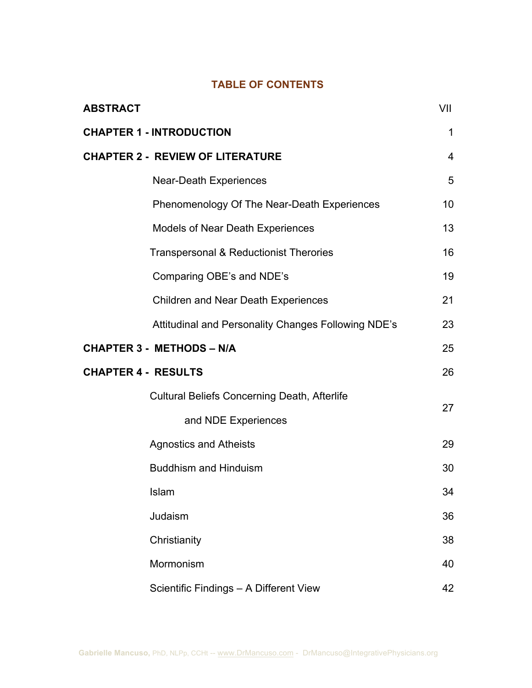## **TABLE OF CONTENTS**

| <b>ABSTRACT</b>                                     | VII |
|-----------------------------------------------------|-----|
| <b>CHAPTER 1 - INTRODUCTION</b>                     | 1   |
| <b>CHAPTER 2 - REVIEW OF LITERATURE</b>             | 4   |
| <b>Near-Death Experiences</b>                       | 5   |
| Phenomenology Of The Near-Death Experiences         | 10  |
| <b>Models of Near Death Experiences</b>             | 13  |
| Transpersonal & Reductionist Therories              | 16  |
| Comparing OBE's and NDE's                           | 19  |
| <b>Children and Near Death Experiences</b>          | 21  |
| Attitudinal and Personality Changes Following NDE's | 23  |
| <b>CHAPTER 3 - METHODS - N/A</b>                    | 25  |
| <b>CHAPTER 4 - RESULTS</b>                          | 26  |
| <b>Cultural Beliefs Concerning Death, Afterlife</b> | 27  |
| and NDE Experiences                                 |     |
| <b>Agnostics and Atheists</b>                       | 29  |
| <b>Buddhism and Hinduism</b>                        | 30  |
| Islam                                               | 34  |
| Judaism                                             | 36  |
| Christianity                                        | 38  |
| Mormonism                                           | 40  |
| Scientific Findings - A Different View              | 42  |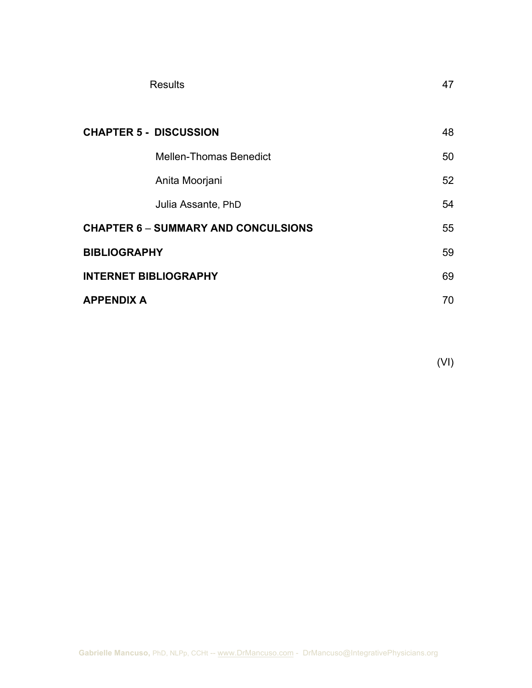| <b>Results</b>                             | 47 |
|--------------------------------------------|----|
|                                            |    |
| <b>CHAPTER 5 - DISCUSSION</b>              | 48 |
| <b>Mellen-Thomas Benedict</b>              | 50 |
| Anita Moorjani                             | 52 |
| Julia Assante, PhD                         | 54 |
| <b>CHAPTER 6 - SUMMARY AND CONCULSIONS</b> | 55 |
| <b>BIBLIOGRAPHY</b>                        | 59 |
| <b>INTERNET BIBLIOGRAPHY</b>               | 69 |
| <b>APPENDIX A</b>                          | 70 |

(VI)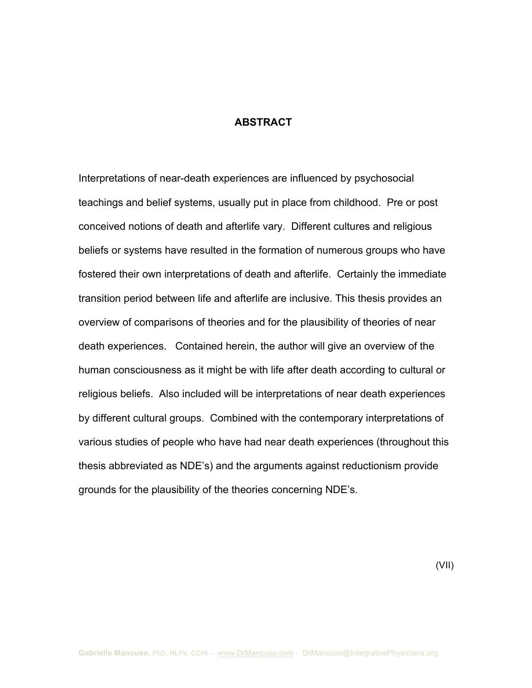#### **ABSTRACT**

Interpretations of near-death experiences are influenced by psychosocial teachings and belief systems, usually put in place from childhood. Pre or post conceived notions of death and afterlife vary. Different cultures and religious beliefs or systems have resulted in the formation of numerous groups who have fostered their own interpretations of death and afterlife. Certainly the immediate transition period between life and afterlife are inclusive. This thesis provides an overview of comparisons of theories and for the plausibility of theories of near death experiences. Contained herein, the author will give an overview of the human consciousness as it might be with life after death according to cultural or religious beliefs. Also included will be interpretations of near death experiences by different cultural groups. Combined with the contemporary interpretations of various studies of people who have had near death experiences (throughout this thesis abbreviated as NDE's) and the arguments against reductionism provide grounds for the plausibility of the theories concerning NDE's.

(VII)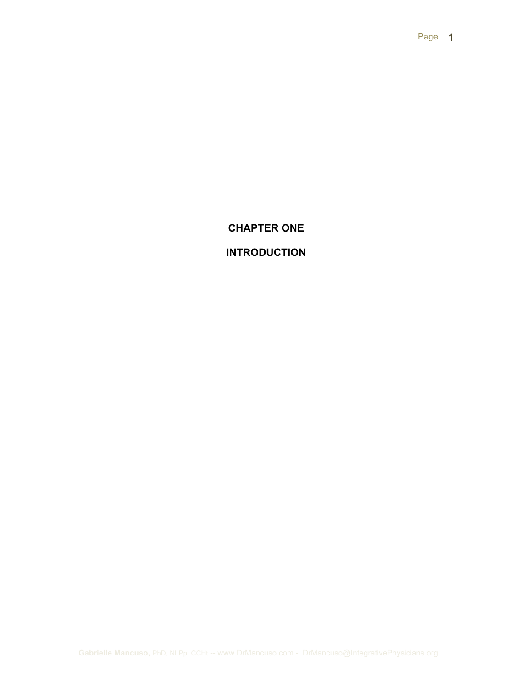## **CHAPTER ONE**

# **INTRODUCTION**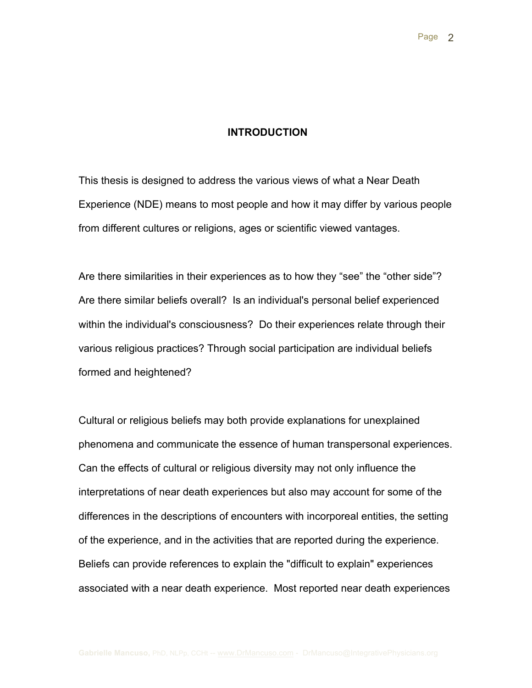### **INTRODUCTION**

This thesis is designed to address the various views of what a Near Death Experience (NDE) means to most people and how it may differ by various people from different cultures or religions, ages or scientific viewed vantages.

Are there similarities in their experiences as to how they "see" the "other side"? Are there similar beliefs overall? Is an individual's personal belief experienced within the individual's consciousness? Do their experiences relate through their various religious practices? Through social participation are individual beliefs formed and heightened?

Cultural or religious beliefs may both provide explanations for unexplained phenomena and communicate the essence of human transpersonal experiences. Can the effects of cultural or religious diversity may not only influence the interpretations of near death experiences but also may account for some of the differences in the descriptions of encounters with incorporeal entities, the setting of the experience, and in the activities that are reported during the experience. Beliefs can provide references to explain the "difficult to explain" experiences associated with a near death experience. Most reported near death experiences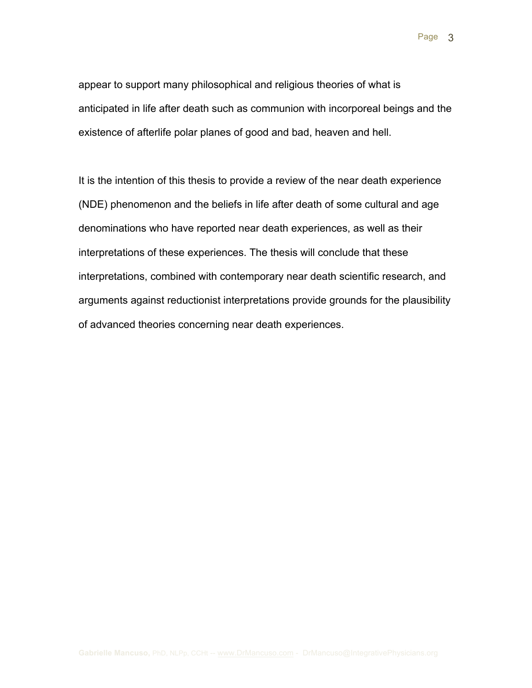appear to support many philosophical and religious theories of what is anticipated in life after death such as communion with incorporeal beings and the existence of afterlife polar planes of good and bad, heaven and hell.

It is the intention of this thesis to provide a review of the near death experience (NDE) phenomenon and the beliefs in life after death of some cultural and age denominations who have reported near death experiences, as well as their interpretations of these experiences. The thesis will conclude that these interpretations, combined with contemporary near death scientific research, and arguments against reductionist interpretations provide grounds for the plausibility of advanced theories concerning near death experiences.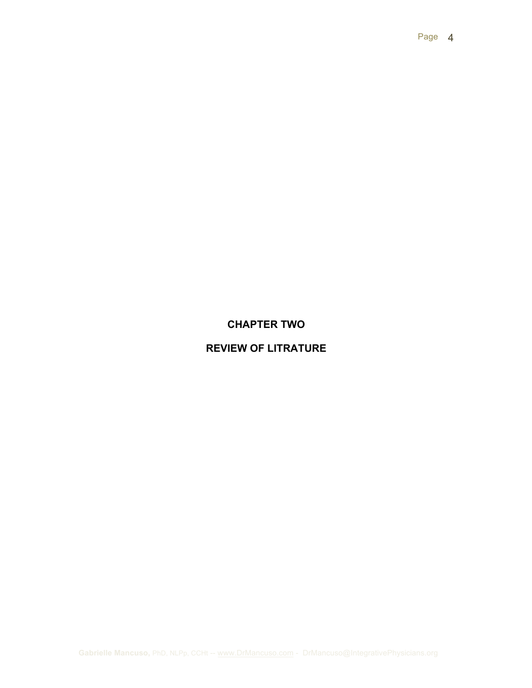## **CHAPTER TWO**

## **REVIEW OF LITRATURE**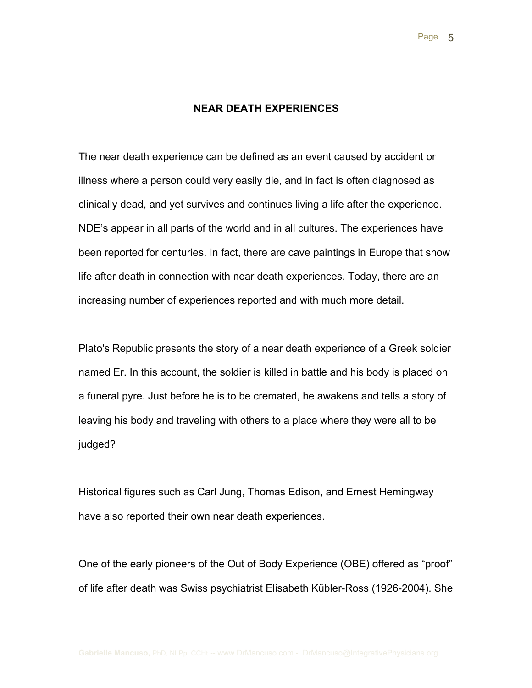#### **NEAR DEATH EXPERIENCES**

The near death experience can be defined as an event caused by accident or illness where a person could very easily die, and in fact is often diagnosed as clinically dead, and yet survives and continues living a life after the experience. NDE's appear in all parts of the world and in all cultures. The experiences have been reported for centuries. In fact, there are cave paintings in Europe that show life after death in connection with near death experiences. Today, there are an increasing number of experiences reported and with much more detail.

Plato's Republic presents the story of a near death experience of a Greek soldier named Er. In this account, the soldier is killed in battle and his body is placed on a funeral pyre. Just before he is to be cremated, he awakens and tells a story of leaving his body and traveling with others to a place where they were all to be judged?

Historical figures such as Carl Jung, Thomas Edison, and Ernest Hemingway have also reported their own near death experiences.

One of the early pioneers of the Out of Body Experience (OBE) offered as "proof" of life after death was Swiss psychiatrist Elisabeth Kübler-Ross (1926-2004). She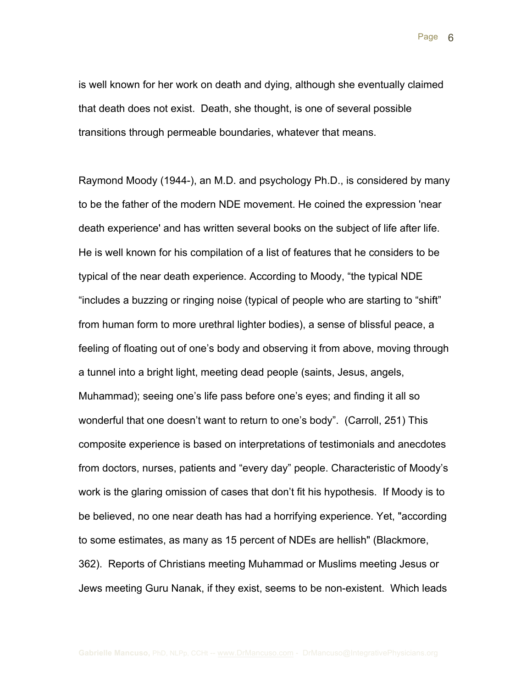Page 6

is well known for her work on death and dying, although she eventually claimed that death does not exist. Death, she thought, is one of several possible transitions through permeable boundaries, whatever that means.

Raymond Moody (1944-), an M.D. and psychology Ph.D., is considered by many to be the father of the modern NDE movement. He coined the expression 'near death experience' and has written several books on the subject of life after life. He is well known for his compilation of a list of features that he considers to be typical of the near death experience. According to Moody, "the typical NDE "includes a buzzing or ringing noise (typical of people who are starting to "shift" from human form to more urethral lighter bodies), a sense of blissful peace, a feeling of floating out of one's body and observing it from above, moving through a tunnel into a bright light, meeting dead people (saints, Jesus, angels, Muhammad); seeing one's life pass before one's eyes; and finding it all so wonderful that one doesn't want to return to one's body". (Carroll, 251) This composite experience is based on interpretations of testimonials and anecdotes from doctors, nurses, patients and "every day" people. Characteristic of Moody's work is the glaring omission of cases that don't fit his hypothesis. If Moody is to be believed, no one near death has had a horrifying experience. Yet, "according to some estimates, as many as 15 percent of NDEs are hellish" (Blackmore, 362). Reports of Christians meeting Muhammad or Muslims meeting Jesus or Jews meeting Guru Nanak, if they exist, seems to be non-existent. Which leads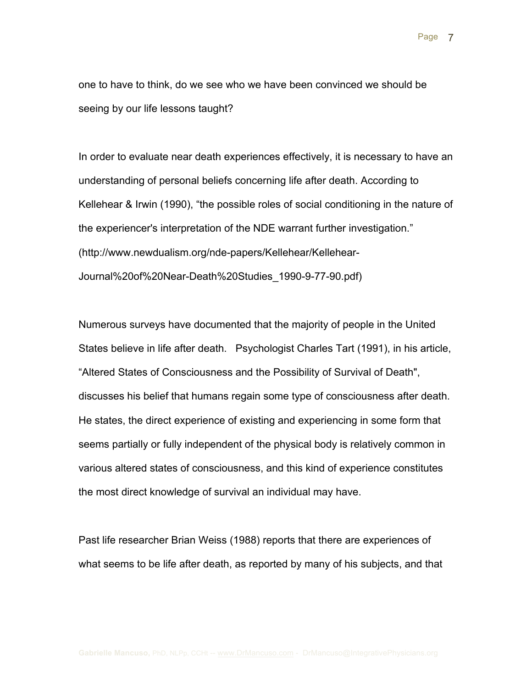one to have to think, do we see who we have been convinced we should be seeing by our life lessons taught?

In order to evaluate near death experiences effectively, it is necessary to have an understanding of personal beliefs concerning life after death. According to Kellehear & Irwin (1990), "the possible roles of social conditioning in the nature of the experiencer's interpretation of the NDE warrant further investigation." (http://www.newdualism.org/nde-papers/Kellehear/Kellehear-Journal%20of%20Near-Death%20Studies\_1990-9-77-90.pdf)

Numerous surveys have documented that the majority of people in the United States believe in life after death. Psychologist Charles Tart (1991), in his article, "Altered States of Consciousness and the Possibility of Survival of Death", discusses his belief that humans regain some type of consciousness after death. He states, the direct experience of existing and experiencing in some form that seems partially or fully independent of the physical body is relatively common in various altered states of consciousness, and this kind of experience constitutes the most direct knowledge of survival an individual may have.

Past life researcher Brian Weiss (1988) reports that there are experiences of what seems to be life after death, as reported by many of his subjects, and that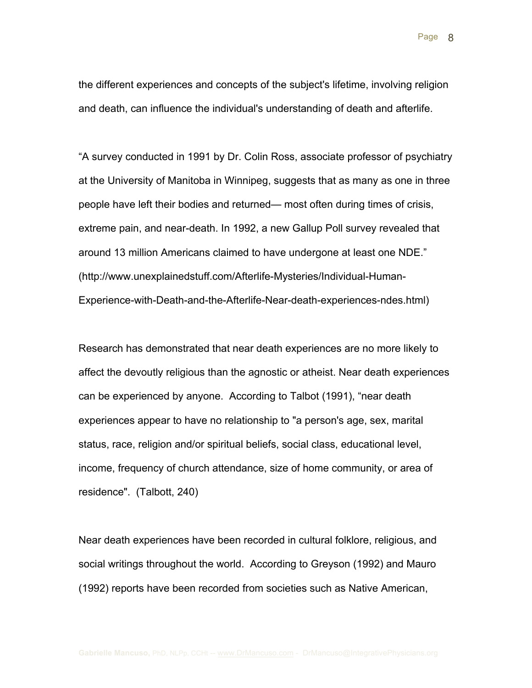Page 8

the different experiences and concepts of the subject's lifetime, involving religion and death, can influence the individual's understanding of death and afterlife.

"A survey conducted in 1991 by Dr. Colin Ross, associate professor of psychiatry at the University of Manitoba in Winnipeg, suggests that as many as one in three people have left their bodies and returned— most often during times of crisis, extreme pain, and near-death. In 1992, a new Gallup Poll survey revealed that around 13 million Americans claimed to have undergone at least one NDE." (http://www.unexplainedstuff.com/Afterlife-Mysteries/Individual-Human-Experience-with-Death-and-the-Afterlife-Near-death-experiences-ndes.html)

Research has demonstrated that near death experiences are no more likely to affect the devoutly religious than the agnostic or atheist. Near death experiences can be experienced by anyone. According to Talbot (1991), "near death experiences appear to have no relationship to "a person's age, sex, marital status, race, religion and/or spiritual beliefs, social class, educational level, income, frequency of church attendance, size of home community, or area of residence". (Talbott, 240)

Near death experiences have been recorded in cultural folklore, religious, and social writings throughout the world. According to Greyson (1992) and Mauro (1992) reports have been recorded from societies such as Native American,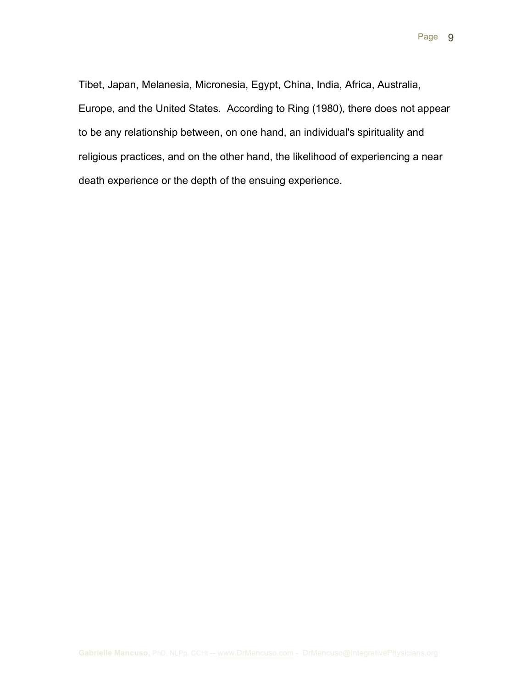Tibet, Japan, Melanesia, Micronesia, Egypt, China, India, Africa, Australia, Europe, and the United States. According to Ring (1980), there does not appear to be any relationship between, on one hand, an individual's spirituality and religious practices, and on the other hand, the likelihood of experiencing a near death experience or the depth of the ensuing experience.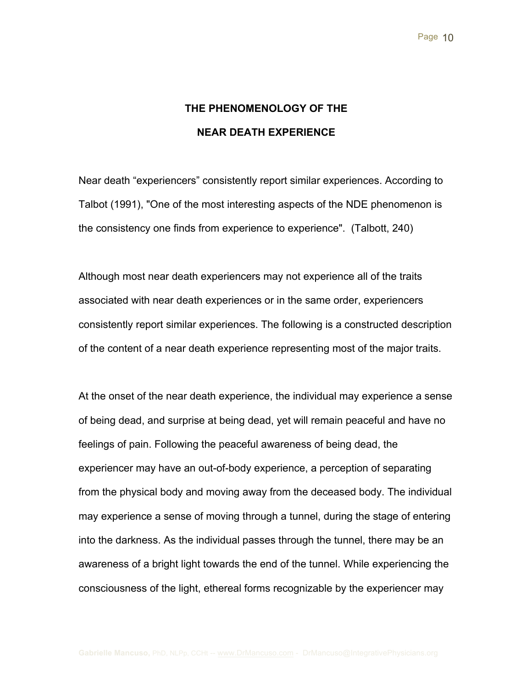# **THE PHENOMENOLOGY OF THE NEAR DEATH EXPERIENCE**

Near death "experiencers" consistently report similar experiences. According to Talbot (1991), "One of the most interesting aspects of the NDE phenomenon is the consistency one finds from experience to experience". (Talbott, 240)

Although most near death experiencers may not experience all of the traits associated with near death experiences or in the same order, experiencers consistently report similar experiences. The following is a constructed description of the content of a near death experience representing most of the major traits.

At the onset of the near death experience, the individual may experience a sense of being dead, and surprise at being dead, yet will remain peaceful and have no feelings of pain. Following the peaceful awareness of being dead, the experiencer may have an out-of-body experience, a perception of separating from the physical body and moving away from the deceased body. The individual may experience a sense of moving through a tunnel, during the stage of entering into the darkness. As the individual passes through the tunnel, there may be an awareness of a bright light towards the end of the tunnel. While experiencing the consciousness of the light, ethereal forms recognizable by the experiencer may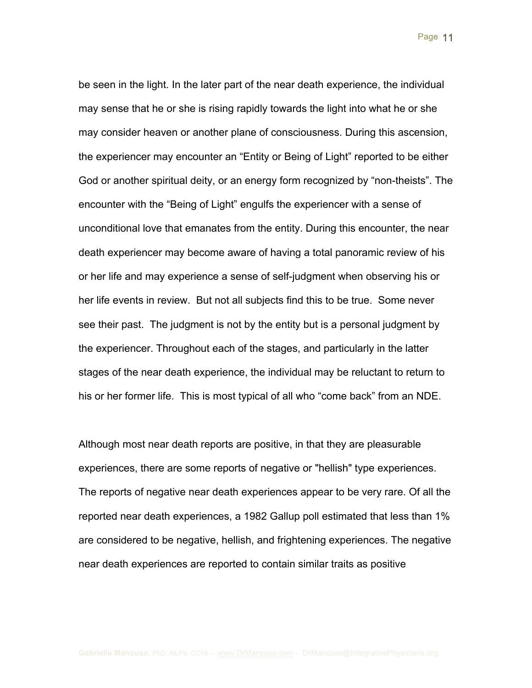Page 11

be seen in the light. In the later part of the near death experience, the individual may sense that he or she is rising rapidly towards the light into what he or she may consider heaven or another plane of consciousness. During this ascension, the experiencer may encounter an "Entity or Being of Light" reported to be either God or another spiritual deity, or an energy form recognized by "non-theists". The encounter with the "Being of Light" engulfs the experiencer with a sense of unconditional love that emanates from the entity. During this encounter, the near death experiencer may become aware of having a total panoramic review of his or her life and may experience a sense of self-judgment when observing his or her life events in review. But not all subjects find this to be true. Some never see their past. The judgment is not by the entity but is a personal judgment by the experiencer. Throughout each of the stages, and particularly in the latter stages of the near death experience, the individual may be reluctant to return to his or her former life. This is most typical of all who "come back" from an NDE.

Although most near death reports are positive, in that they are pleasurable experiences, there are some reports of negative or "hellish" type experiences. The reports of negative near death experiences appear to be very rare. Of all the reported near death experiences, a 1982 Gallup poll estimated that less than 1% are considered to be negative, hellish, and frightening experiences. The negative near death experiences are reported to contain similar traits as positive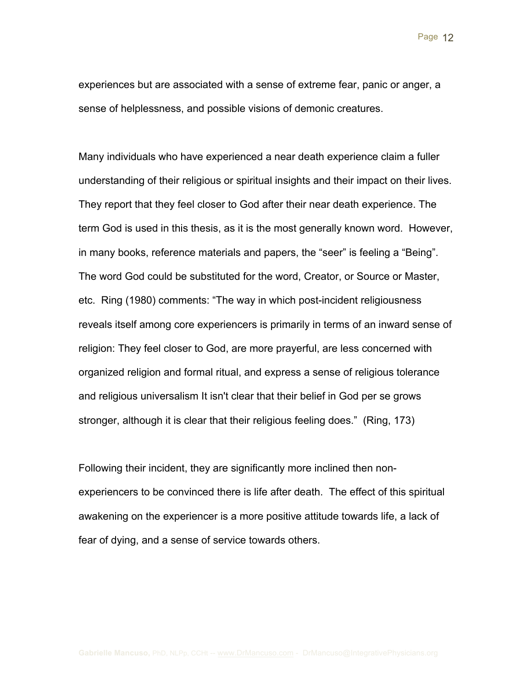Page 12

experiences but are associated with a sense of extreme fear, panic or anger, a sense of helplessness, and possible visions of demonic creatures.

Many individuals who have experienced a near death experience claim a fuller understanding of their religious or spiritual insights and their impact on their lives. They report that they feel closer to God after their near death experience. The term God is used in this thesis, as it is the most generally known word. However, in many books, reference materials and papers, the "seer" is feeling a "Being". The word God could be substituted for the word, Creator, or Source or Master, etc. Ring (1980) comments: "The way in which post-incident religiousness reveals itself among core experiencers is primarily in terms of an inward sense of religion: They feel closer to God, are more prayerful, are less concerned with organized religion and formal ritual, and express a sense of religious tolerance and religious universalism It isn't clear that their belief in God per se grows stronger, although it is clear that their religious feeling does." (Ring, 173)

Following their incident, they are significantly more inclined then nonexperiencers to be convinced there is life after death. The effect of this spiritual awakening on the experiencer is a more positive attitude towards life, a lack of fear of dying, and a sense of service towards others.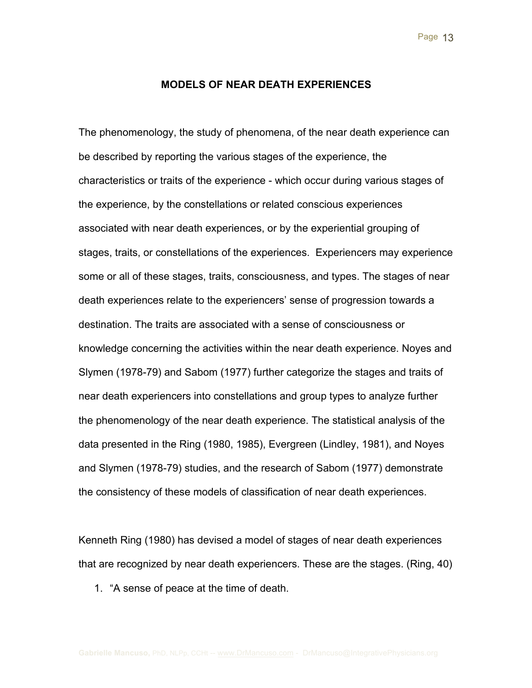#### **MODELS OF NEAR DEATH EXPERIENCES**

The phenomenology, the study of phenomena, of the near death experience can be described by reporting the various stages of the experience, the characteristics or traits of the experience - which occur during various stages of the experience, by the constellations or related conscious experiences associated with near death experiences, or by the experiential grouping of stages, traits, or constellations of the experiences. Experiencers may experience some or all of these stages, traits, consciousness, and types. The stages of near death experiences relate to the experiencers' sense of progression towards a destination. The traits are associated with a sense of consciousness or knowledge concerning the activities within the near death experience. Noyes and Slymen (1978-79) and Sabom (1977) further categorize the stages and traits of near death experiencers into constellations and group types to analyze further the phenomenology of the near death experience. The statistical analysis of the data presented in the Ring (1980, 1985), Evergreen (Lindley, 1981), and Noyes and Slymen (1978-79) studies, and the research of Sabom (1977) demonstrate the consistency of these models of classification of near death experiences.

Kenneth Ring (1980) has devised a model of stages of near death experiences that are recognized by near death experiencers. These are the stages. (Ring, 40)

1. "A sense of peace at the time of death.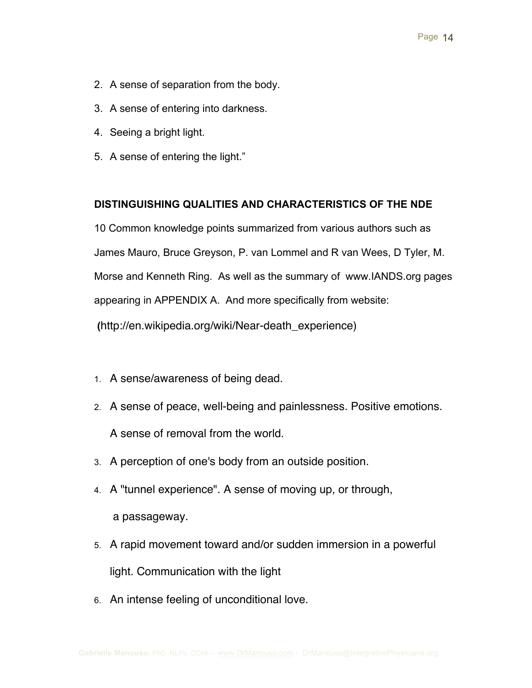- 2. A sense of separation from the body.
- 3. A sense of entering into darkness.
- 4. Seeing a bright light.
- 5. A sense of entering the light."

## **DISTINGUISHING QUALITIES AND CHARACTERISTICS OF THE NDE**

10 Common knowledge points summarized from various authors such as James Mauro, Bruce Greyson, P. van Lommel and R van Wees, D Tyler, M. Morse and Kenneth Ring. As well as the summary of www.IANDS.org pages appearing in APPENDIX A. And more specifically from website: **(**http://en.wikipedia.org/wiki/Near-death\_experience)

- 1. A sense/awareness of being dead.
- 2. A sense of peace, well-being and painlessness. Positive emotions. A sense of removal from the world.
- 3. A perception of one's body from an outside position.
- 4. A "tunnel experience". A sense of moving up, or through, a passageway.
- 5. A rapid movement toward and/or sudden immersion in a powerful light. Communication with the light
- 6. An intense feeling of unconditional love.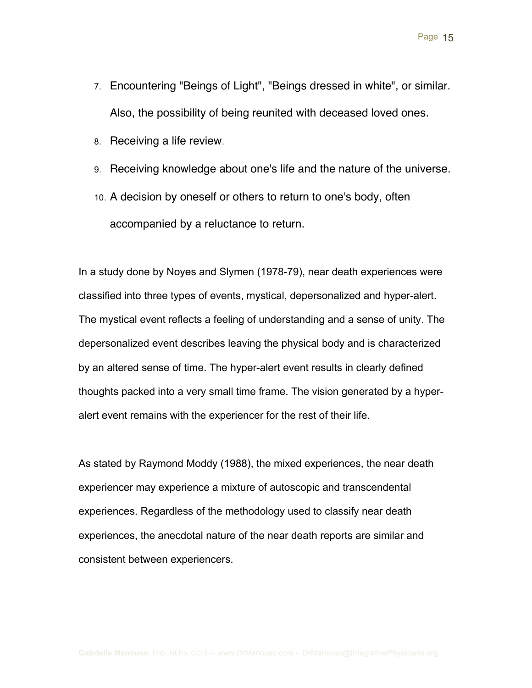- 7. Encountering "Beings of Light", "Beings dressed in white", or similar. Also, the possibility of being reunited with deceased loved ones.
- 8. Receiving a life review.
- 9. Receiving knowledge about one's life and the nature of the universe.
- 10. A decision by oneself or others to return to one's body, often accompanied by a reluctance to return.

In a study done by Noyes and Slymen (1978-79), near death experiences were classified into three types of events, mystical, depersonalized and hyper-alert. The mystical event reflects a feeling of understanding and a sense of unity. The depersonalized event describes leaving the physical body and is characterized by an altered sense of time. The hyper-alert event results in clearly defined thoughts packed into a very small time frame. The vision generated by a hyperalert event remains with the experiencer for the rest of their life.

As stated by Raymond Moddy (1988), the mixed experiences, the near death experiencer may experience a mixture of autoscopic and transcendental experiences. Regardless of the methodology used to classify near death experiences, the anecdotal nature of the near death reports are similar and consistent between experiencers.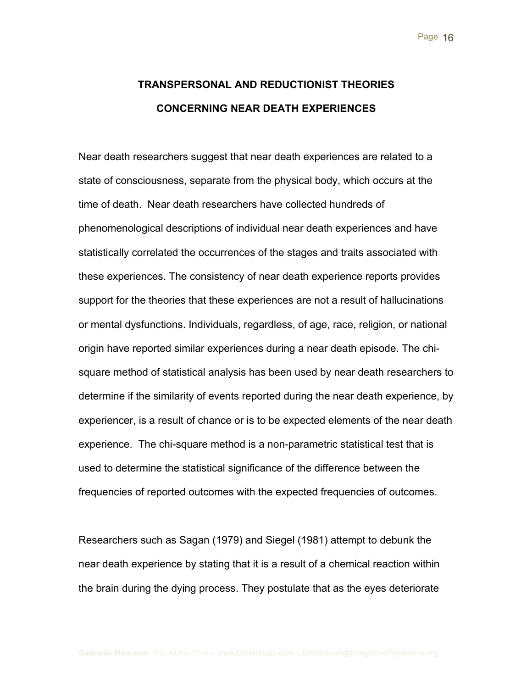# **TRANSPERSONAL AND REDUCTIONIST THEORIES CONCERNING NEAR DEATH EXPERIENCES**

Near death researchers suggest that near death experiences are related to a state of consciousness, separate from the physical body, which occurs at the time of death. Near death researchers have collected hundreds of phenomenological descriptions of individual near death experiences and have statistically correlated the occurrences of the stages and traits associated with these experiences. The consistency of near death experience reports provides support for the theories that these experiences are not a result of hallucinations or mental dysfunctions. Individuals, regardless, of age, race, religion, or national origin have reported similar experiences during a near death episode. The chisquare method of statistical analysis has been used by near death researchers to determine if the similarity of events reported during the near death experience, by experiencer, is a result of chance or is to be expected elements of the near death experience. The chi-square method is a non-parametric statistical test that is used to determine the statistical significance of the difference between the frequencies of reported outcomes with the expected frequencies of outcomes.

Researchers such as Sagan (1979) and Siegel (1981) attempt to debunk the near death experience by stating that it is a result of a chemical reaction within the brain during the dying process. They postulate that as the eyes deteriorate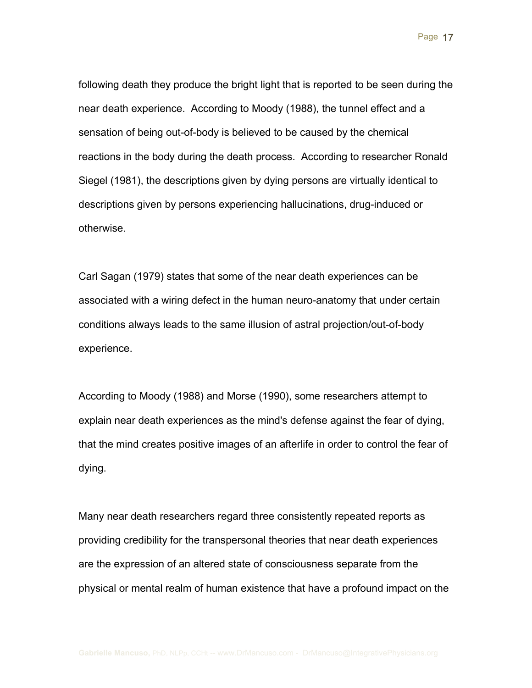following death they produce the bright light that is reported to be seen during the near death experience. According to Moody (1988), the tunnel effect and a sensation of being out-of-body is believed to be caused by the chemical reactions in the body during the death process. According to researcher Ronald Siegel (1981), the descriptions given by dying persons are virtually identical to descriptions given by persons experiencing hallucinations, drug-induced or otherwise.

Carl Sagan (1979) states that some of the near death experiences can be associated with a wiring defect in the human neuro-anatomy that under certain conditions always leads to the same illusion of astral projection/out-of-body experience.

According to Moody (1988) and Morse (1990), some researchers attempt to explain near death experiences as the mind's defense against the fear of dying, that the mind creates positive images of an afterlife in order to control the fear of dying.

Many near death researchers regard three consistently repeated reports as providing credibility for the transpersonal theories that near death experiences are the expression of an altered state of consciousness separate from the physical or mental realm of human existence that have a profound impact on the

Page 17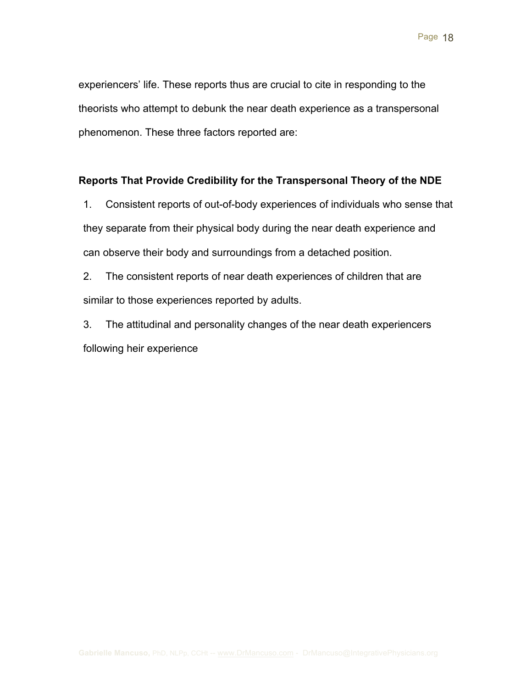experiencers' life. These reports thus are crucial to cite in responding to the theorists who attempt to debunk the near death experience as a transpersonal phenomenon. These three factors reported are:

## **Reports That Provide Credibility for the Transpersonal Theory of the NDE**

1. Consistent reports of out-of-body experiences of individuals who sense that they separate from their physical body during the near death experience and can observe their body and surroundings from a detached position.

2. The consistent reports of near death experiences of children that are similar to those experiences reported by adults.

3. The attitudinal and personality changes of the near death experiencers following heir experience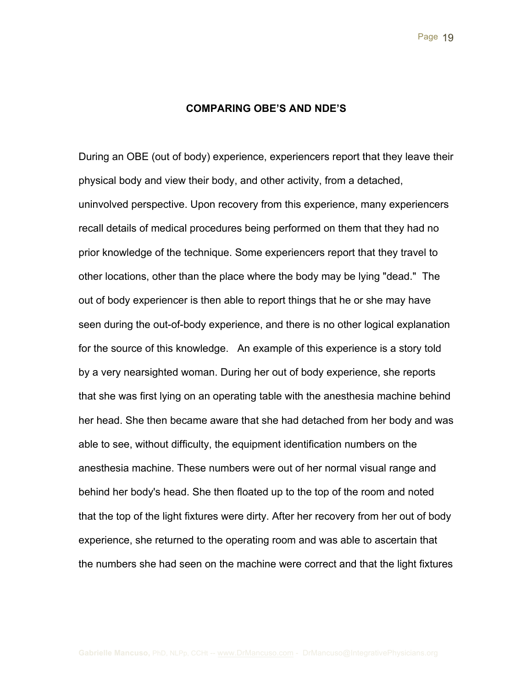#### **COMPARING OBE'S AND NDE'S**

During an OBE (out of body) experience, experiencers report that they leave their physical body and view their body, and other activity, from a detached, uninvolved perspective. Upon recovery from this experience, many experiencers recall details of medical procedures being performed on them that they had no prior knowledge of the technique. Some experiencers report that they travel to other locations, other than the place where the body may be lying "dead." The out of body experiencer is then able to report things that he or she may have seen during the out-of-body experience, and there is no other logical explanation for the source of this knowledge. An example of this experience is a story told by a very nearsighted woman. During her out of body experience, she reports that she was first lying on an operating table with the anesthesia machine behind her head. She then became aware that she had detached from her body and was able to see, without difficulty, the equipment identification numbers on the anesthesia machine. These numbers were out of her normal visual range and behind her body's head. She then floated up to the top of the room and noted that the top of the light fixtures were dirty. After her recovery from her out of body experience, she returned to the operating room and was able to ascertain that the numbers she had seen on the machine were correct and that the light fixtures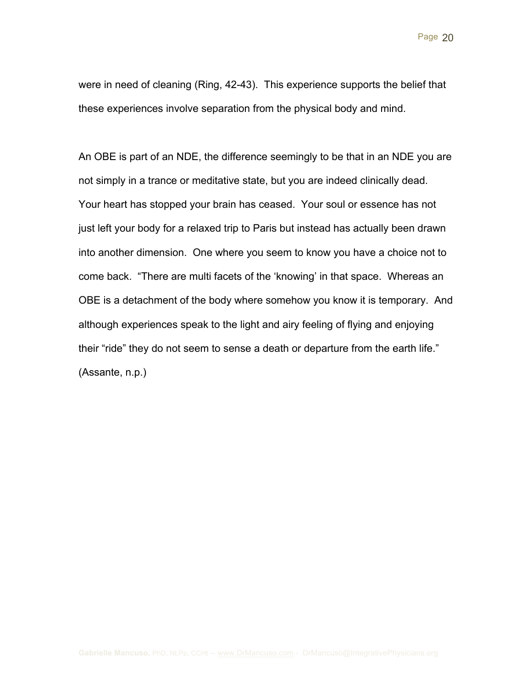were in need of cleaning (Ring, 42-43). This experience supports the belief that these experiences involve separation from the physical body and mind.

An OBE is part of an NDE, the difference seemingly to be that in an NDE you are not simply in a trance or meditative state, but you are indeed clinically dead. Your heart has stopped your brain has ceased. Your soul or essence has not just left your body for a relaxed trip to Paris but instead has actually been drawn into another dimension. One where you seem to know you have a choice not to come back. "There are multi facets of the 'knowing' in that space. Whereas an OBE is a detachment of the body where somehow you know it is temporary. And although experiences speak to the light and airy feeling of flying and enjoying their "ride" they do not seem to sense a death or departure from the earth life." (Assante, n.p.)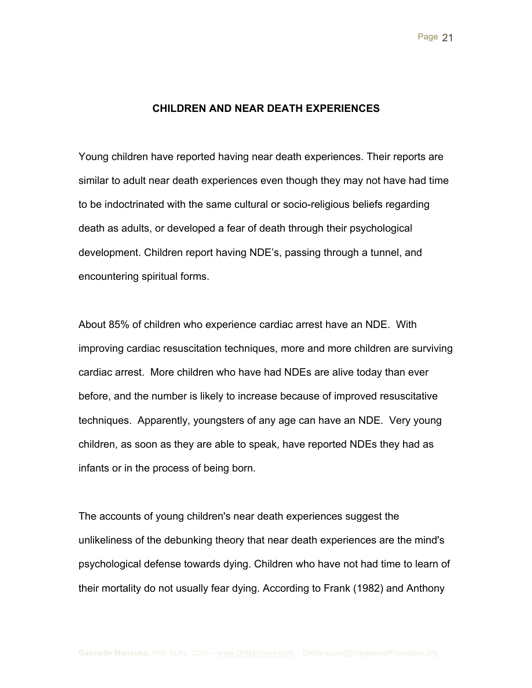#### **CHILDREN AND NEAR DEATH EXPERIENCES**

Young children have reported having near death experiences. Their reports are similar to adult near death experiences even though they may not have had time to be indoctrinated with the same cultural or socio-religious beliefs regarding death as adults, or developed a fear of death through their psychological development. Children report having NDE's, passing through a tunnel, and encountering spiritual forms.

About 85% of children who experience cardiac arrest have an NDE. With improving cardiac resuscitation techniques, more and more children are surviving cardiac arrest. More children who have had NDEs are alive today than ever before, and the number is likely to increase because of improved resuscitative techniques. Apparently, youngsters of any age can have an NDE. Very young children, as soon as they are able to speak, have reported NDEs they had as infants or in the process of being born.

The accounts of young children's near death experiences suggest the unlikeliness of the debunking theory that near death experiences are the mind's psychological defense towards dying. Children who have not had time to learn of their mortality do not usually fear dying. According to Frank (1982) and Anthony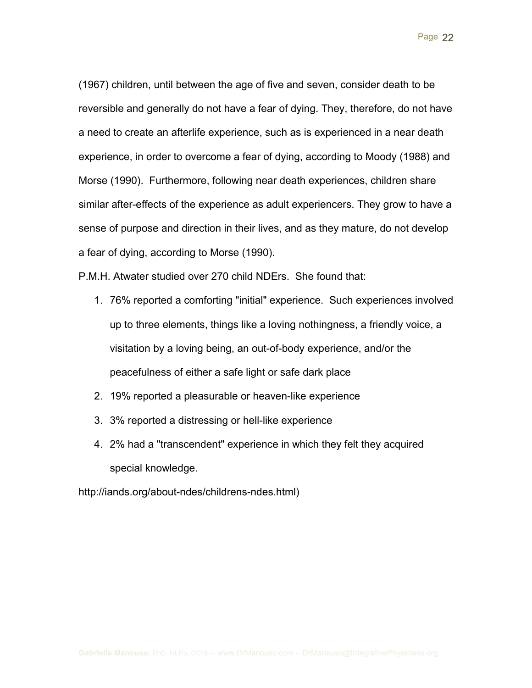Page 22

(1967) children, until between the age of five and seven, consider death to be reversible and generally do not have a fear of dying. They, therefore, do not have a need to create an afterlife experience, such as is experienced in a near death experience, in order to overcome a fear of dying, according to Moody (1988) and Morse (1990). Furthermore, following near death experiences, children share similar after-effects of the experience as adult experiencers. They grow to have a sense of purpose and direction in their lives, and as they mature, do not develop a fear of dying, according to Morse (1990).

P.M.H. Atwater studied over 270 child NDErs. She found that:

- 1. 76% reported a comforting "initial" experience. Such experiences involved up to three elements, things like a loving nothingness, a friendly voice, a visitation by a loving being, an out-of-body experience, and/or the peacefulness of either a safe light or safe dark place
- 2. 19% reported a pleasurable or heaven-like experience
- 3. 3% reported a distressing or hell-like experience
- 4. 2% had a "transcendent" experience in which they felt they acquired special knowledge.

http://iands.org/about-ndes/childrens-ndes.html)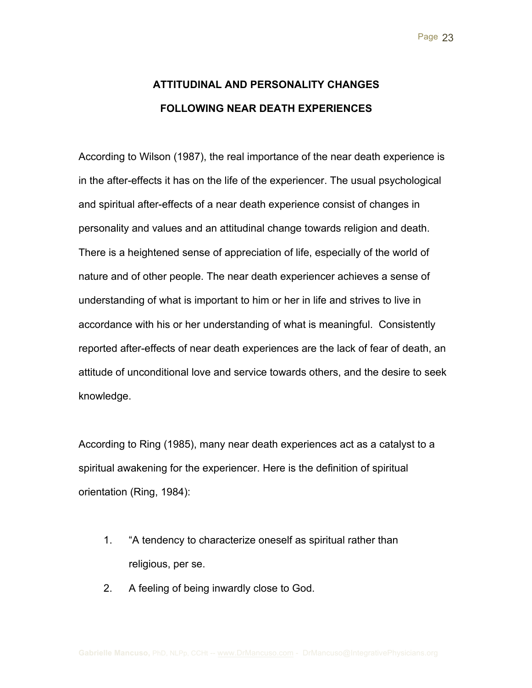# **ATTITUDINAL AND PERSONALITY CHANGES FOLLOWING NEAR DEATH EXPERIENCES**

According to Wilson (1987), the real importance of the near death experience is in the after-effects it has on the life of the experiencer. The usual psychological and spiritual after-effects of a near death experience consist of changes in personality and values and an attitudinal change towards religion and death. There is a heightened sense of appreciation of life, especially of the world of nature and of other people. The near death experiencer achieves a sense of understanding of what is important to him or her in life and strives to live in accordance with his or her understanding of what is meaningful. Consistently reported after-effects of near death experiences are the lack of fear of death, an attitude of unconditional love and service towards others, and the desire to seek knowledge.

According to Ring (1985), many near death experiences act as a catalyst to a spiritual awakening for the experiencer. Here is the definition of spiritual orientation (Ring, 1984):

- 1. "A tendency to characterize oneself as spiritual rather than religious, per se.
- 2. A feeling of being inwardly close to God.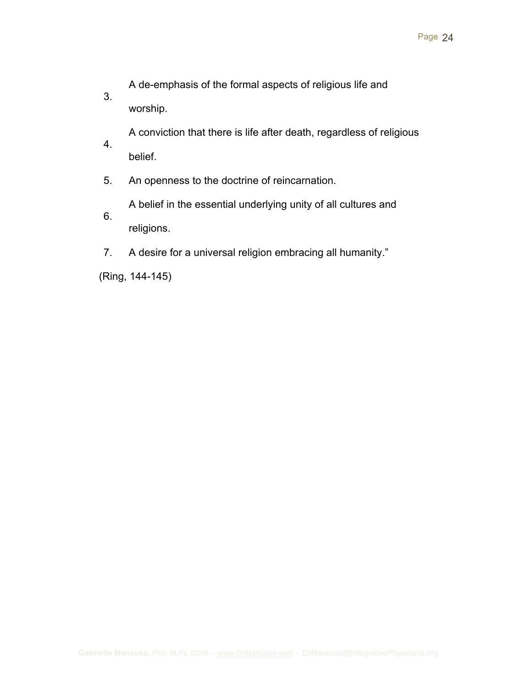A de-emphasis of the formal aspects of religious life and

worship.

3.

A conviction that there is life after death, regardless of religious

- 4. belief.
- 5. An openness to the doctrine of reincarnation.

A belief in the essential underlying unity of all cultures and

- 6. religions.
- 7. A desire for a universal religion embracing all humanity."

(Ring, 144-145)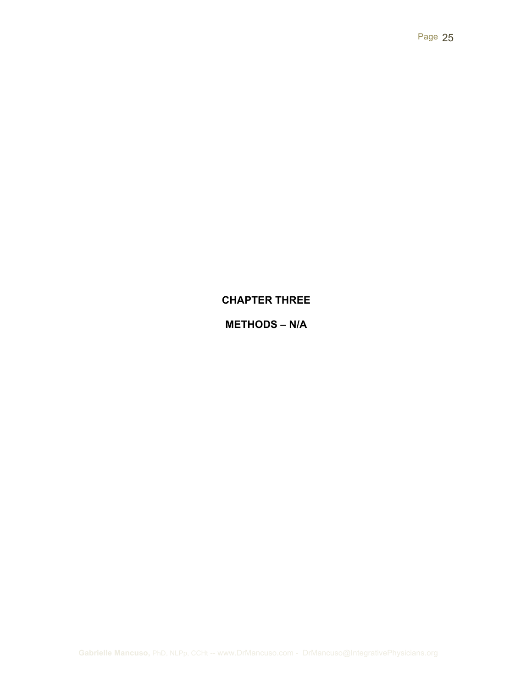## **CHAPTER THREE**

## **METHODS – N/A**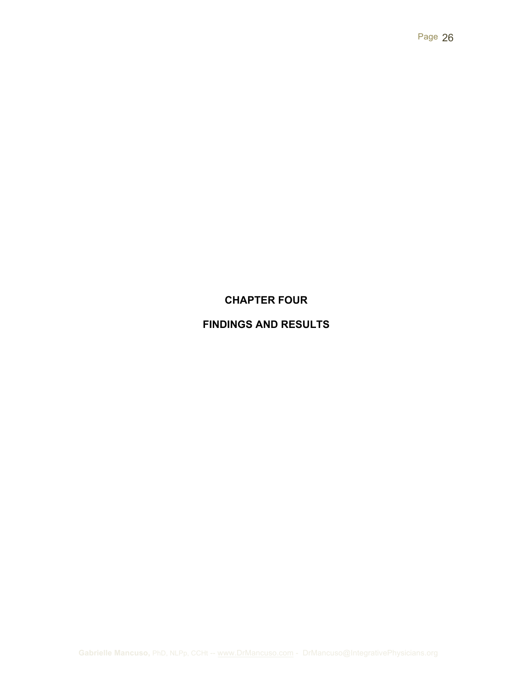## **CHAPTER FOUR**

# **FINDINGS AND RESULTS**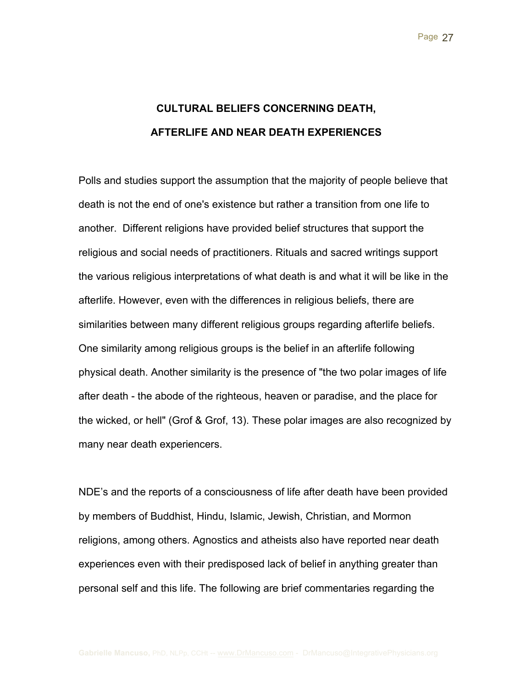# **CULTURAL BELIEFS CONCERNING DEATH, AFTERLIFE AND NEAR DEATH EXPERIENCES**

Polls and studies support the assumption that the majority of people believe that death is not the end of one's existence but rather a transition from one life to another. Different religions have provided belief structures that support the religious and social needs of practitioners. Rituals and sacred writings support the various religious interpretations of what death is and what it will be like in the afterlife. However, even with the differences in religious beliefs, there are similarities between many different religious groups regarding afterlife beliefs. One similarity among religious groups is the belief in an afterlife following physical death. Another similarity is the presence of "the two polar images of life after death - the abode of the righteous, heaven or paradise, and the place for the wicked, or hell" (Grof & Grof, 13). These polar images are also recognized by many near death experiencers.

NDE's and the reports of a consciousness of life after death have been provided by members of Buddhist, Hindu, Islamic, Jewish, Christian, and Mormon religions, among others. Agnostics and atheists also have reported near death experiences even with their predisposed lack of belief in anything greater than personal self and this life. The following are brief commentaries regarding the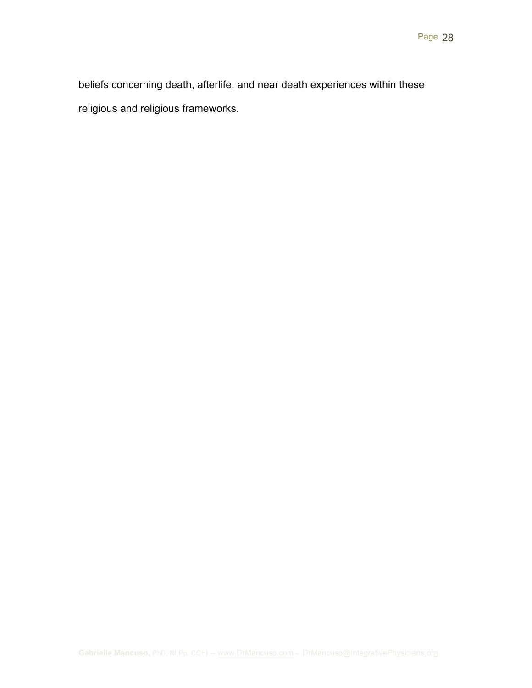beliefs concerning death, afterlife, and near death experiences within these religious and religious frameworks.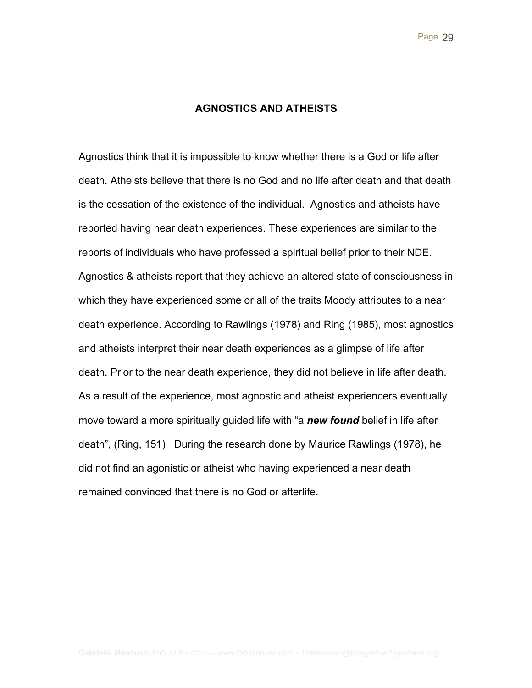#### **AGNOSTICS AND ATHEISTS**

Agnostics think that it is impossible to know whether there is a God or life after death. Atheists believe that there is no God and no life after death and that death is the cessation of the existence of the individual. Agnostics and atheists have reported having near death experiences. These experiences are similar to the reports of individuals who have professed a spiritual belief prior to their NDE. Agnostics & atheists report that they achieve an altered state of consciousness in which they have experienced some or all of the traits Moody attributes to a near death experience. According to Rawlings (1978) and Ring (1985), most agnostics and atheists interpret their near death experiences as a glimpse of life after death. Prior to the near death experience, they did not believe in life after death. As a result of the experience, most agnostic and atheist experiencers eventually move toward a more spiritually guided life with "a *new found* belief in life after death", (Ring, 151) During the research done by Maurice Rawlings (1978), he did not find an agonistic or atheist who having experienced a near death remained convinced that there is no God or afterlife.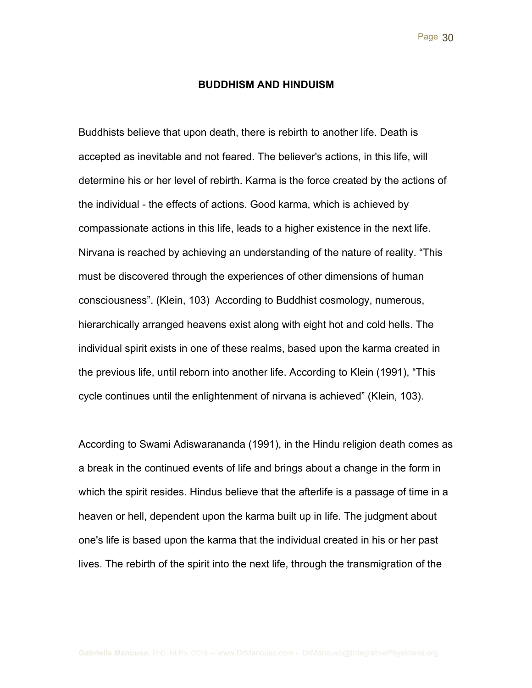#### **BUDDHISM AND HINDUISM**

Buddhists believe that upon death, there is rebirth to another life. Death is accepted as inevitable and not feared. The believer's actions, in this life, will determine his or her level of rebirth. Karma is the force created by the actions of the individual - the effects of actions. Good karma, which is achieved by compassionate actions in this life, leads to a higher existence in the next life. Nirvana is reached by achieving an understanding of the nature of reality. "This must be discovered through the experiences of other dimensions of human consciousness". (Klein, 103) According to Buddhist cosmology, numerous, hierarchically arranged heavens exist along with eight hot and cold hells. The individual spirit exists in one of these realms, based upon the karma created in the previous life, until reborn into another life. According to Klein (1991), "This cycle continues until the enlightenment of nirvana is achieved" (Klein, 103).

According to Swami Adiswarananda (1991), in the Hindu religion death comes as a break in the continued events of life and brings about a change in the form in which the spirit resides. Hindus believe that the afterlife is a passage of time in a heaven or hell, dependent upon the karma built up in life. The judgment about one's life is based upon the karma that the individual created in his or her past lives. The rebirth of the spirit into the next life, through the transmigration of the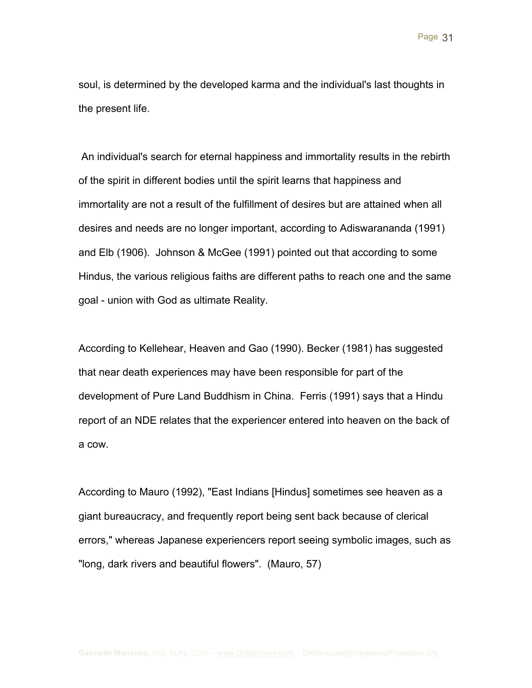soul, is determined by the developed karma and the individual's last thoughts in the present life.

An individual's search for eternal happiness and immortality results in the rebirth of the spirit in different bodies until the spirit learns that happiness and immortality are not a result of the fulfillment of desires but are attained when all desires and needs are no longer important, according to Adiswarananda (1991) and Elb (1906). Johnson & McGee (1991) pointed out that according to some Hindus, the various religious faiths are different paths to reach one and the same goal - union with God as ultimate Reality.

According to Kellehear, Heaven and Gao (1990). Becker (1981) has suggested that near death experiences may have been responsible for part of the development of Pure Land Buddhism in China. Ferris (1991) says that a Hindu report of an NDE relates that the experiencer entered into heaven on the back of a cow.

According to Mauro (1992), "East Indians [Hindus] sometimes see heaven as a giant bureaucracy, and frequently report being sent back because of clerical errors," whereas Japanese experiencers report seeing symbolic images, such as "long, dark rivers and beautiful flowers". (Mauro, 57)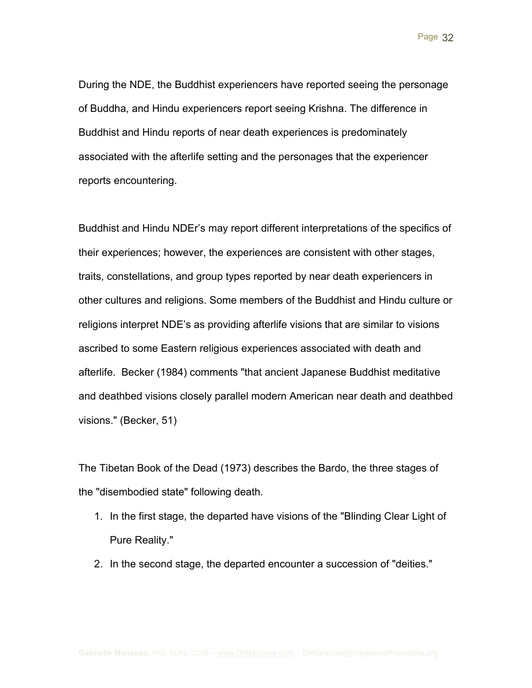During the NDE, the Buddhist experiencers have reported seeing the personage of Buddha, and Hindu experiencers report seeing Krishna. The difference in Buddhist and Hindu reports of near death experiences is predominately associated with the afterlife setting and the personages that the experiencer reports encountering.

Buddhist and Hindu NDEr's may report different interpretations of the specifics of their experiences; however, the experiences are consistent with other stages, traits, constellations, and group types reported by near death experiencers in other cultures and religions. Some members of the Buddhist and Hindu culture or religions interpret NDE's as providing afterlife visions that are similar to visions ascribed to some Eastern religious experiences associated with death and afterlife. Becker (1984) comments "that ancient Japanese Buddhist meditative and deathbed visions closely parallel modern American near death and deathbed visions." (Becker, 51)

The Tibetan Book of the Dead (1973) describes the Bardo, the three stages of the "disembodied state" following death.

- 1. In the first stage, the departed have visions of the "Blinding Clear Light of Pure Reality."
- 2. In the second stage, the departed encounter a succession of "deities."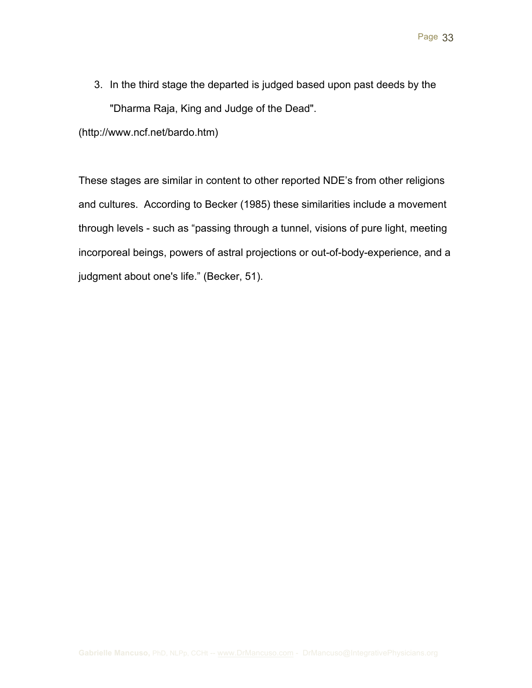3. In the third stage the departed is judged based upon past deeds by the "Dharma Raja, King and Judge of the Dead".

(http://www.ncf.net/bardo.htm)

These stages are similar in content to other reported NDE's from other religions and cultures. According to Becker (1985) these similarities include a movement through levels - such as "passing through a tunnel, visions of pure light, meeting incorporeal beings, powers of astral projections or out-of-body-experience, and a judgment about one's life." (Becker, 51).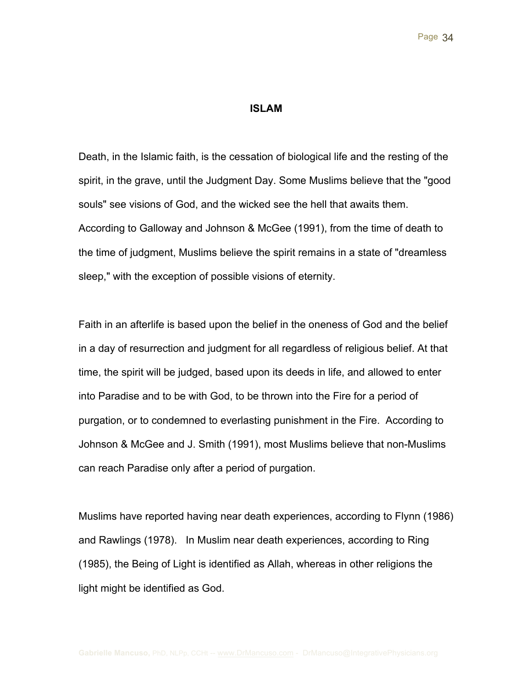#### **ISLAM**

Death, in the Islamic faith, is the cessation of biological life and the resting of the spirit, in the grave, until the Judgment Day. Some Muslims believe that the "good souls" see visions of God, and the wicked see the hell that awaits them. According to Galloway and Johnson & McGee (1991), from the time of death to the time of judgment, Muslims believe the spirit remains in a state of "dreamless sleep," with the exception of possible visions of eternity.

Faith in an afterlife is based upon the belief in the oneness of God and the belief in a day of resurrection and judgment for all regardless of religious belief. At that time, the spirit will be judged, based upon its deeds in life, and allowed to enter into Paradise and to be with God, to be thrown into the Fire for a period of purgation, or to condemned to everlasting punishment in the Fire. According to Johnson & McGee and J. Smith (1991), most Muslims believe that non-Muslims can reach Paradise only after a period of purgation.

Muslims have reported having near death experiences, according to Flynn (1986) and Rawlings (1978). In Muslim near death experiences, according to Ring (1985), the Being of Light is identified as Allah, whereas in other religions the light might be identified as God.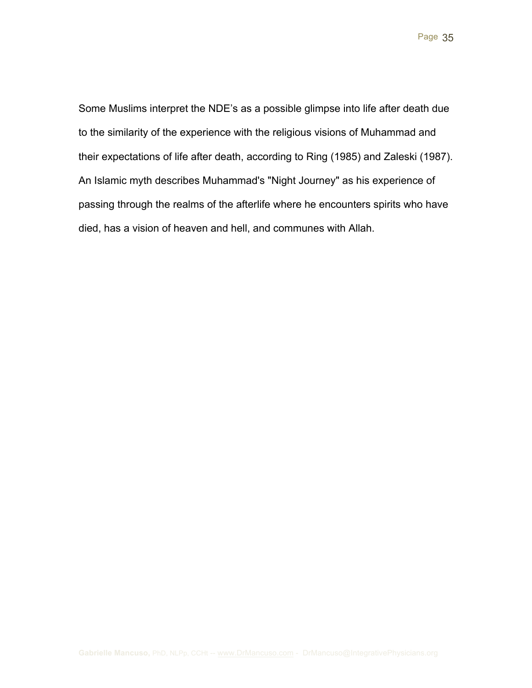Some Muslims interpret the NDE's as a possible glimpse into life after death due to the similarity of the experience with the religious visions of Muhammad and their expectations of life after death, according to Ring (1985) and Zaleski (1987). An Islamic myth describes Muhammad's "Night Journey" as his experience of passing through the realms of the afterlife where he encounters spirits who have died, has a vision of heaven and hell, and communes with Allah.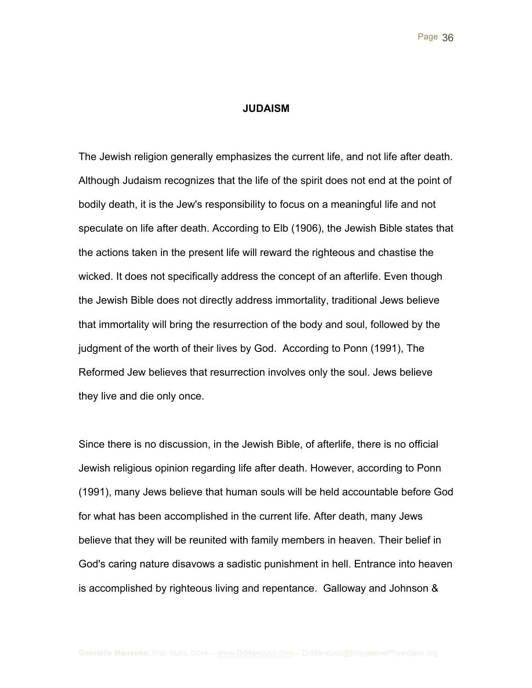#### **JUDAISM**

The Jewish religion generally emphasizes the current life, and not life after death. Although Judaism recognizes that the life of the spirit does not end at the point of bodily death, it is the Jew's responsibility to focus on a meaningful life and not speculate on life after death. According to Elb (1906), the Jewish Bible states that the actions taken in the present life will reward the righteous and chastise the wicked. It does not specifically address the concept of an afterlife. Even though the Jewish Bible does not directly address immortality, traditional Jews believe that immortality will bring the resurrection of the body and soul, followed by the judgment of the worth of their lives by God. According to Ponn (1991), The Reformed Jew believes that resurrection involves only the soul. Jews believe they live and die only once.

Since there is no discussion, in the Jewish Bible, of afterlife, there is no official Jewish religious opinion regarding life after death. However, according to Ponn (1991), many Jews believe that human souls will be held accountable before God for what has been accomplished in the current life. After death, many Jews believe that they will be reunited with family members in heaven. Their belief in God's caring nature disavows a sadistic punishment in hell. Entrance into heaven is accomplished by righteous living and repentance. Galloway and Johnson &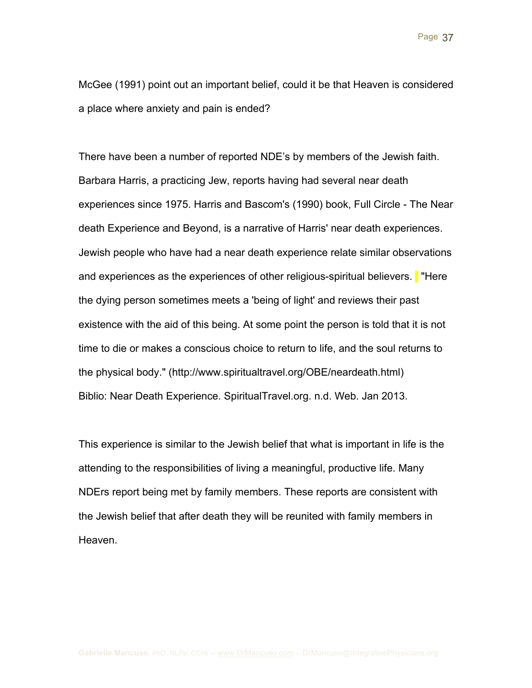McGee (1991) point out an important belief, could it be that Heaven is considered a place where anxiety and pain is ended?

There have been a number of reported NDE's by members of the Jewish faith. Barbara Harris, a practicing Jew, reports having had several near death experiences since 1975. Harris and Bascom's (1990) book, Full Circle - The Near death Experience and Beyond, is a narrative of Harris' near death experiences. Jewish people who have had a near death experience relate similar observations and experiences as the experiences of other religious-spiritual believers. There the dying person sometimes meets a 'being of light' and reviews their past existence with the aid of this being. At some point the person is told that it is not time to die or makes a conscious choice to return to life, and the soul returns to the physical body." (http://www.spiritualtravel.org/OBE/neardeath.html) Biblio: Near Death Experience. SpiritualTravel.org. n.d. Web. Jan 2013.

This experience is similar to the Jewish belief that what is important in life is the attending to the responsibilities of living a meaningful, productive life. Many NDErs report being met by family members. These reports are consistent with the Jewish belief that after death they will be reunited with family members in Heaven.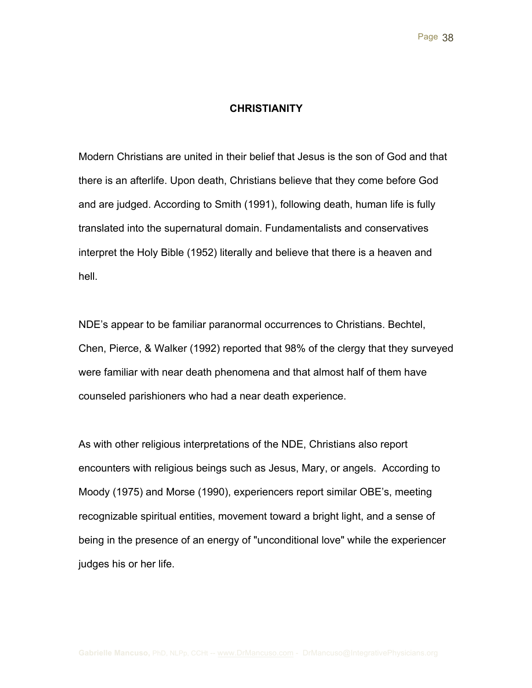#### **CHRISTIANITY**

Modern Christians are united in their belief that Jesus is the son of God and that there is an afterlife. Upon death, Christians believe that they come before God and are judged. According to Smith (1991), following death, human life is fully translated into the supernatural domain. Fundamentalists and conservatives interpret the Holy Bible (1952) literally and believe that there is a heaven and hell.

NDE's appear to be familiar paranormal occurrences to Christians. Bechtel, Chen, Pierce, & Walker (1992) reported that 98% of the clergy that they surveyed were familiar with near death phenomena and that almost half of them have counseled parishioners who had a near death experience.

As with other religious interpretations of the NDE, Christians also report encounters with religious beings such as Jesus, Mary, or angels. According to Moody (1975) and Morse (1990), experiencers report similar OBE's, meeting recognizable spiritual entities, movement toward a bright light, and a sense of being in the presence of an energy of "unconditional love" while the experiencer judges his or her life.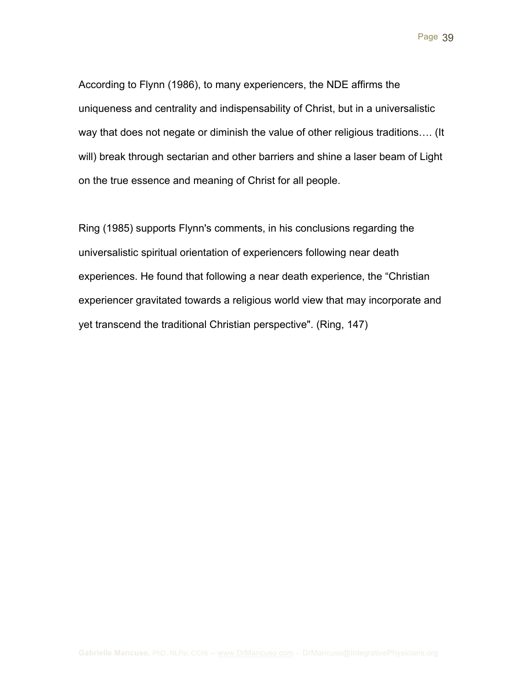According to Flynn (1986), to many experiencers, the NDE affirms the uniqueness and centrality and indispensability of Christ, but in a universalistic way that does not negate or diminish the value of other religious traditions…. (It will) break through sectarian and other barriers and shine a laser beam of Light on the true essence and meaning of Christ for all people.

Ring (1985) supports Flynn's comments, in his conclusions regarding the universalistic spiritual orientation of experiencers following near death experiences. He found that following a near death experience, the "Christian experiencer gravitated towards a religious world view that may incorporate and yet transcend the traditional Christian perspective". (Ring, 147)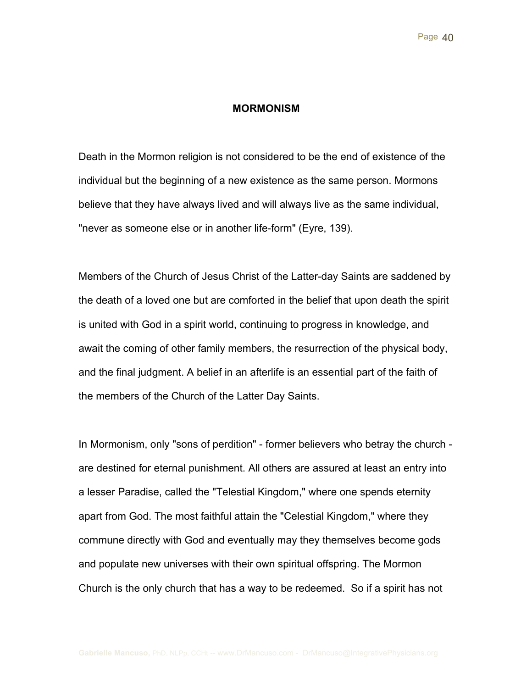#### **MORMONISM**

Death in the Mormon religion is not considered to be the end of existence of the individual but the beginning of a new existence as the same person. Mormons believe that they have always lived and will always live as the same individual, "never as someone else or in another life-form" (Eyre, 139).

Members of the Church of Jesus Christ of the Latter-day Saints are saddened by the death of a loved one but are comforted in the belief that upon death the spirit is united with God in a spirit world, continuing to progress in knowledge, and await the coming of other family members, the resurrection of the physical body, and the final judgment. A belief in an afterlife is an essential part of the faith of the members of the Church of the Latter Day Saints.

In Mormonism, only "sons of perdition" - former believers who betray the church are destined for eternal punishment. All others are assured at least an entry into a lesser Paradise, called the "Telestial Kingdom," where one spends eternity apart from God. The most faithful attain the "Celestial Kingdom," where they commune directly with God and eventually may they themselves become gods and populate new universes with their own spiritual offspring. The Mormon Church is the only church that has a way to be redeemed. So if a spirit has not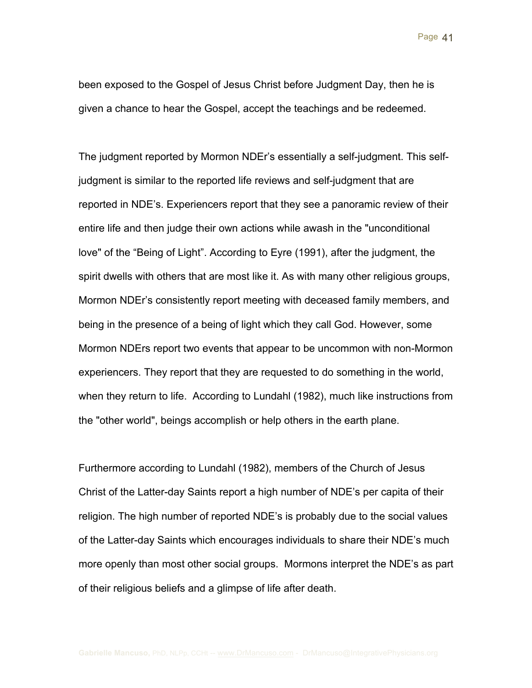been exposed to the Gospel of Jesus Christ before Judgment Day, then he is given a chance to hear the Gospel, accept the teachings and be redeemed.

The judgment reported by Mormon NDEr's essentially a self-judgment. This selfjudgment is similar to the reported life reviews and self-judgment that are reported in NDE's. Experiencers report that they see a panoramic review of their entire life and then judge their own actions while awash in the "unconditional love" of the "Being of Light". According to Eyre (1991), after the judgment, the spirit dwells with others that are most like it. As with many other religious groups, Mormon NDEr's consistently report meeting with deceased family members, and being in the presence of a being of light which they call God. However, some Mormon NDErs report two events that appear to be uncommon with non-Mormon experiencers. They report that they are requested to do something in the world, when they return to life. According to Lundahl (1982), much like instructions from the "other world", beings accomplish or help others in the earth plane.

Furthermore according to Lundahl (1982), members of the Church of Jesus Christ of the Latter-day Saints report a high number of NDE's per capita of their religion. The high number of reported NDE's is probably due to the social values of the Latter-day Saints which encourages individuals to share their NDE's much more openly than most other social groups. Mormons interpret the NDE's as part of their religious beliefs and a glimpse of life after death.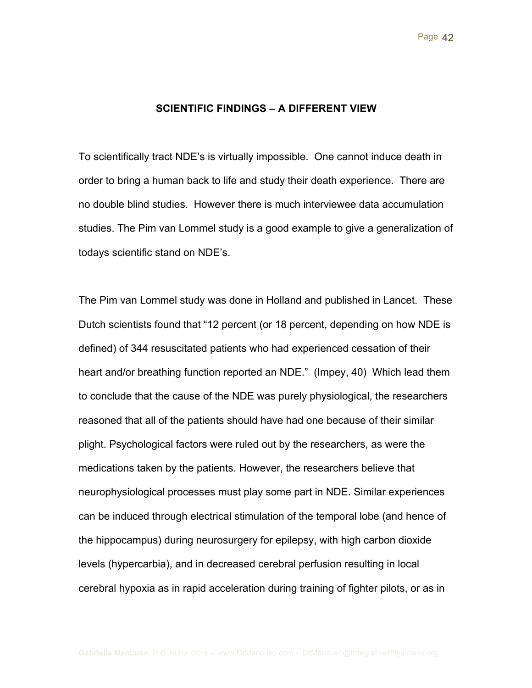#### **SCIENTIFIC FINDINGS – A DIFFERENT VIEW**

To scientifically tract NDE's is virtually impossible. One cannot induce death in order to bring a human back to life and study their death experience. There are no double blind studies. However there is much interviewee data accumulation studies. The Pim van Lommel study is a good example to give a generalization of todays scientific stand on NDE's.

The Pim van Lommel study was done in Holland and published in Lancet. These Dutch scientists found that "12 percent (or 18 percent, depending on how NDE is defined) of 344 resuscitated patients who had experienced cessation of their heart and/or breathing function reported an NDE." (Impey, 40) Which lead them to conclude that the cause of the NDE was purely physiological, the researchers reasoned that all of the patients should have had one because of their similar plight. Psychological factors were ruled out by the researchers, as were the medications taken by the patients. However, the researchers believe that neurophysiological processes must play some part in NDE. Similar experiences can be induced through electrical stimulation of the temporal lobe (and hence of the hippocampus) during neurosurgery for epilepsy, with high carbon dioxide levels (hypercarbia), and in decreased cerebral perfusion resulting in local cerebral hypoxia as in rapid acceleration during training of fighter pilots, or as in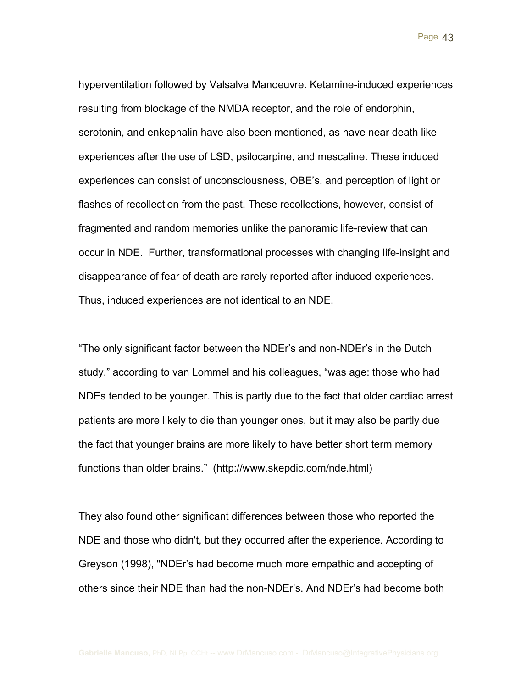hyperventilation followed by Valsalva Manoeuvre. Ketamine-induced experiences resulting from blockage of the NMDA receptor, and the role of endorphin, serotonin, and enkephalin have also been mentioned, as have near death like experiences after the use of LSD, psilocarpine, and mescaline. These induced experiences can consist of unconsciousness, OBE's, and perception of light or flashes of recollection from the past. These recollections, however, consist of fragmented and random memories unlike the panoramic life-review that can occur in NDE. Further, transformational processes with changing life-insight and disappearance of fear of death are rarely reported after induced experiences. Thus, induced experiences are not identical to an NDE.

"The only significant factor between the NDEr's and non-NDEr's in the Dutch study," according to van Lommel and his colleagues, "was age: those who had NDEs tended to be younger. This is partly due to the fact that older cardiac arrest patients are more likely to die than younger ones, but it may also be partly due the fact that younger brains are more likely to have better short term memory functions than older brains." (http://www.skepdic.com/nde.html)

They also found other significant differences between those who reported the NDE and those who didn't, but they occurred after the experience. According to Greyson (1998), "NDEr's had become much more empathic and accepting of others since their NDE than had the non-NDEr's. And NDEr's had become both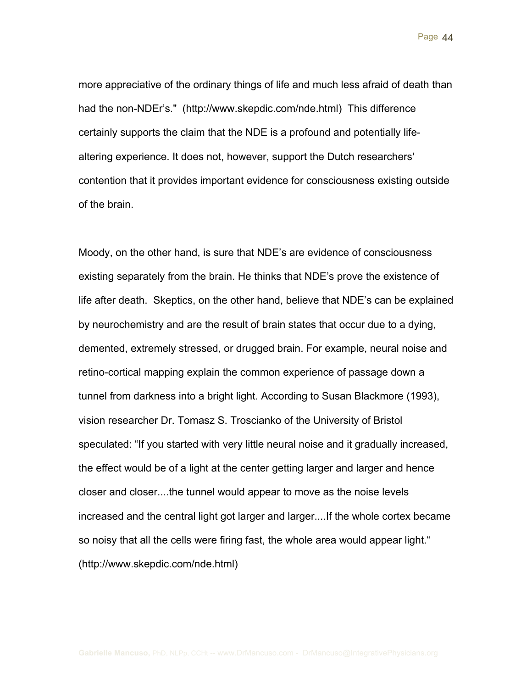more appreciative of the ordinary things of life and much less afraid of death than had the non-NDEr's." (http://www.skepdic.com/nde.html) This difference certainly supports the claim that the NDE is a profound and potentially lifealtering experience. It does not, however, support the Dutch researchers' contention that it provides important evidence for consciousness existing outside of the brain.

Moody, on the other hand, is sure that NDE's are evidence of consciousness existing separately from the brain. He thinks that NDE's prove the existence of life after death. Skeptics, on the other hand, believe that NDE's can be explained by neurochemistry and are the result of brain states that occur due to a dying, demented, extremely stressed, or drugged brain. For example, neural noise and retino-cortical mapping explain the common experience of passage down a tunnel from darkness into a bright light. According to Susan Blackmore (1993), vision researcher Dr. Tomasz S. Troscianko of the University of Bristol speculated: "If you started with very little neural noise and it gradually increased, the effect would be of a light at the center getting larger and larger and hence closer and closer....the tunnel would appear to move as the noise levels increased and the central light got larger and larger....If the whole cortex became so noisy that all the cells were firing fast, the whole area would appear light." (http://www.skepdic.com/nde.html)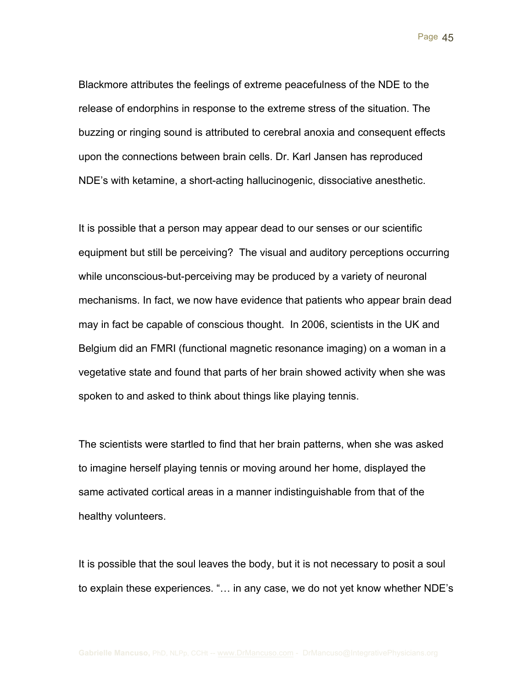Blackmore attributes the feelings of extreme peacefulness of the NDE to the release of endorphins in response to the extreme stress of the situation. The buzzing or ringing sound is attributed to cerebral anoxia and consequent effects upon the connections between brain cells. Dr. Karl Jansen has reproduced NDE's with ketamine, a short-acting hallucinogenic, dissociative anesthetic.

It is possible that a person may appear dead to our senses or our scientific equipment but still be perceiving? The visual and auditory perceptions occurring while unconscious-but-perceiving may be produced by a variety of neuronal mechanisms. In fact, we now have evidence that patients who appear brain dead may in fact be capable of conscious thought. In 2006, scientists in the UK and Belgium did an FMRI (functional magnetic resonance imaging) on a woman in a vegetative state and found that parts of her brain showed activity when she was spoken to and asked to think about things like playing tennis.

The scientists were startled to find that her brain patterns, when she was asked to imagine herself playing tennis or moving around her home, displayed the same activated cortical areas in a manner indistinguishable from that of the healthy volunteers.

It is possible that the soul leaves the body, but it is not necessary to posit a soul to explain these experiences. "… in any case, we do not yet know whether NDE's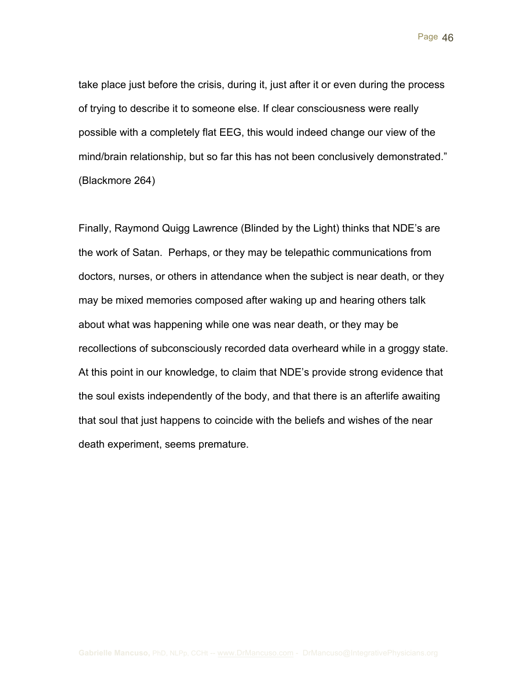take place just before the crisis, during it, just after it or even during the process of trying to describe it to someone else. If clear consciousness were really possible with a completely flat EEG, this would indeed change our view of the mind/brain relationship, but so far this has not been conclusively demonstrated." (Blackmore 264)

Finally, Raymond Quigg Lawrence (Blinded by the Light) thinks that NDE's are the work of Satan. Perhaps, or they may be telepathic communications from doctors, nurses, or others in attendance when the subject is near death, or they may be mixed memories composed after waking up and hearing others talk about what was happening while one was near death, or they may be recollections of subconsciously recorded data overheard while in a groggy state. At this point in our knowledge, to claim that NDE's provide strong evidence that the soul exists independently of the body, and that there is an afterlife awaiting that soul that just happens to coincide with the beliefs and wishes of the near death experiment, seems premature.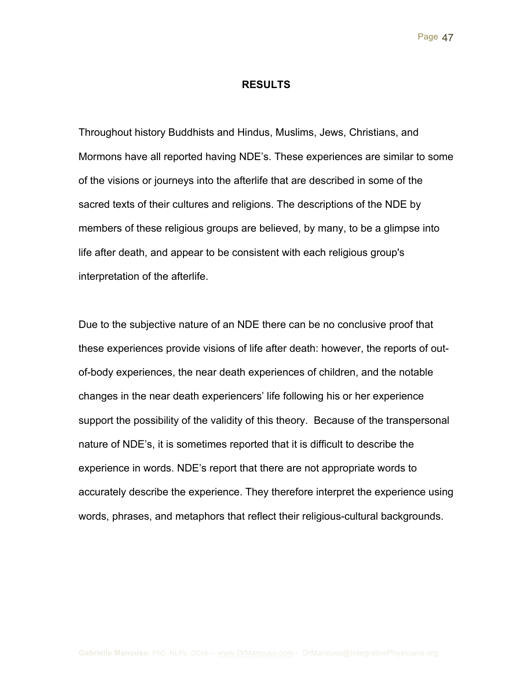#### **RESULTS**

Throughout history Buddhists and Hindus, Muslims, Jews, Christians, and Mormons have all reported having NDE's. These experiences are similar to some of the visions or journeys into the afterlife that are described in some of the sacred texts of their cultures and religions. The descriptions of the NDE by members of these religious groups are believed, by many, to be a glimpse into life after death, and appear to be consistent with each religious group's interpretation of the afterlife.

Due to the subjective nature of an NDE there can be no conclusive proof that these experiences provide visions of life after death: however, the reports of outof-body experiences, the near death experiences of children, and the notable changes in the near death experiencers' life following his or her experience support the possibility of the validity of this theory. Because of the transpersonal nature of NDE's, it is sometimes reported that it is difficult to describe the experience in words. NDE's report that there are not appropriate words to accurately describe the experience. They therefore interpret the experience using words, phrases, and metaphors that reflect their religious-cultural backgrounds.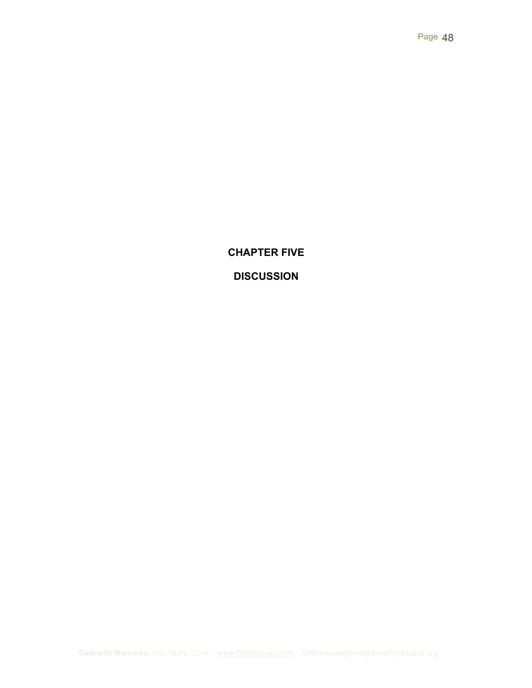# **CHAPTER FIVE**

# **DISCUSSION**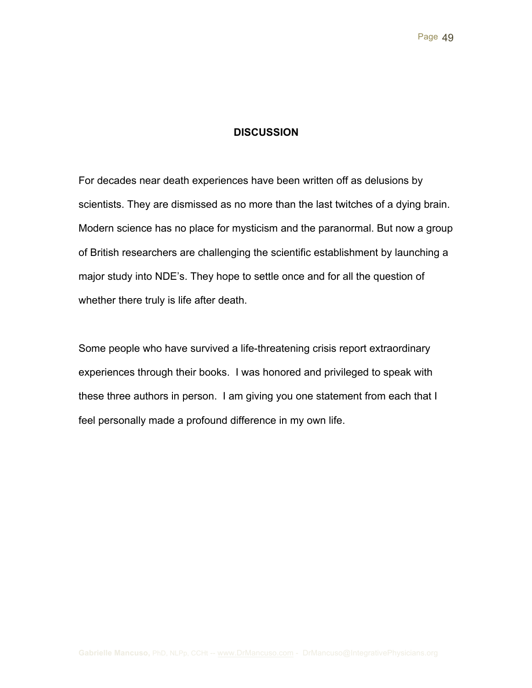### **DISCUSSION**

For decades near death experiences have been written off as delusions by scientists. They are dismissed as no more than the last twitches of a dying brain. Modern science has no place for mysticism and the paranormal. But now a group of British researchers are challenging the scientific establishment by launching a major study into NDE's. They hope to settle once and for all the question of whether there truly is life after death.

Some people who have survived a life-threatening crisis report extraordinary experiences through their books. I was honored and privileged to speak with these three authors in person. I am giving you one statement from each that I feel personally made a profound difference in my own life.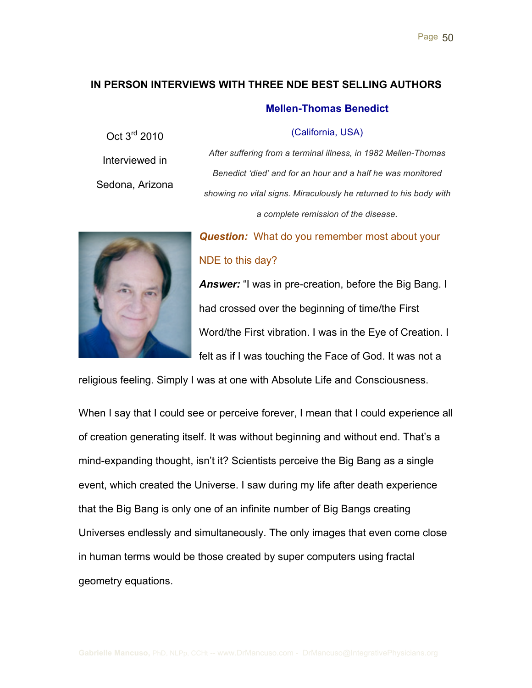### **IN PERSON INTERVIEWS WITH THREE NDE BEST SELLING AUTHORS**

#### **Mellen-Thomas Benedict**

(California, USA)

Interviewed in Sedona, Arizona

Oct 3rd 2010

*After suffering from a terminal illness, in 1982 Mellen-Thomas Benedict 'died' and for an hour and a half he was monitored showing no vital signs. Miraculously he returned to his body with a complete remission of the disease.*



# *Question:* What do you remember most about your NDE to this day?

**Answer:** "I was in pre-creation, before the Big Bang. I had crossed over the beginning of time/the First Word/the First vibration. I was in the Eye of Creation. I felt as if I was touching the Face of God. It was not a

religious feeling. Simply I was at one with Absolute Life and Consciousness.

When I say that I could see or perceive forever, I mean that I could experience all of creation generating itself. It was without beginning and without end. That's a mind-expanding thought, isn't it? Scientists perceive the Big Bang as a single event, which created the Universe. I saw during my life after death experience that the Big Bang is only one of an infinite number of Big Bangs creating Universes endlessly and simultaneously. The only images that even come close in human terms would be those created by super computers using fractal geometry equations.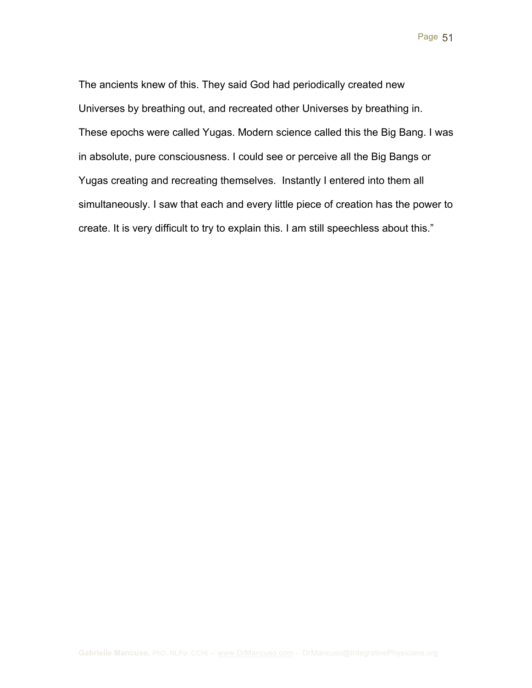The ancients knew of this. They said God had periodically created new Universes by breathing out, and recreated other Universes by breathing in. These epochs were called Yugas. Modern science called this the Big Bang. I was in absolute, pure consciousness. I could see or perceive all the Big Bangs or Yugas creating and recreating themselves. Instantly I entered into them all simultaneously. I saw that each and every little piece of creation has the power to create. It is very difficult to try to explain this. I am still speechless about this."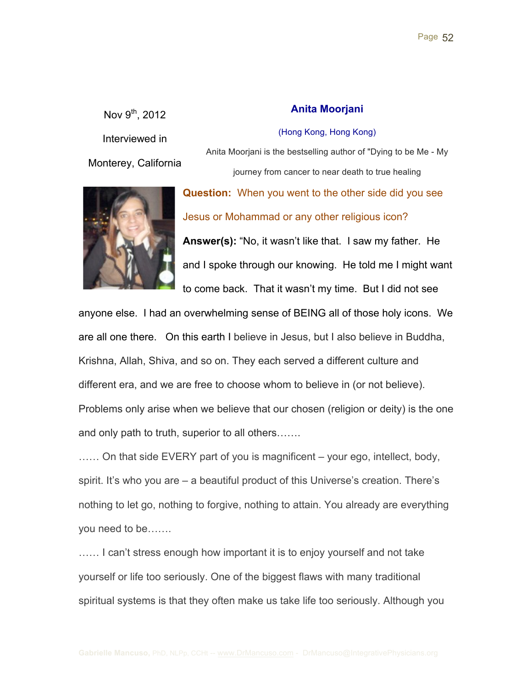Nov  $9^{th}$ , 2012 Interviewed in Monterey, California



### **Anita Moorjani**

Anita Moorjani is the bestselling author of "Dying to be Me - My journey from cancer to near death to true healing

(Hong Kong, Hong Kong)

**Question:** When you went to the other side did you see Jesus or Mohammad or any other religious icon? **Answer(s):** "No, it wasn't like that. I saw my father. He and I spoke through our knowing. He told me I might want to come back. That it wasn't my time. But I did not see

anyone else. I had an overwhelming sense of BEING all of those holy icons. We are all one there. On this earth I believe in Jesus, but I also believe in Buddha, Krishna, Allah, Shiva, and so on. They each served a different culture and different era, and we are free to choose whom to believe in (or not believe). Problems only arise when we believe that our chosen (religion or deity) is the one and only path to truth, superior to all others…….

...... On that side EVERY part of you is magnificent – your ego, intellect, body, spirit. It's who you are – a beautiful product of this Universe's creation. There's nothing to let go, nothing to forgive, nothing to attain. You already are everything you need to be…….

…… I can't stress enough how important it is to enjoy yourself and not take yourself or life too seriously. One of the biggest flaws with many traditional spiritual systems is that they often make us take life too seriously. Although you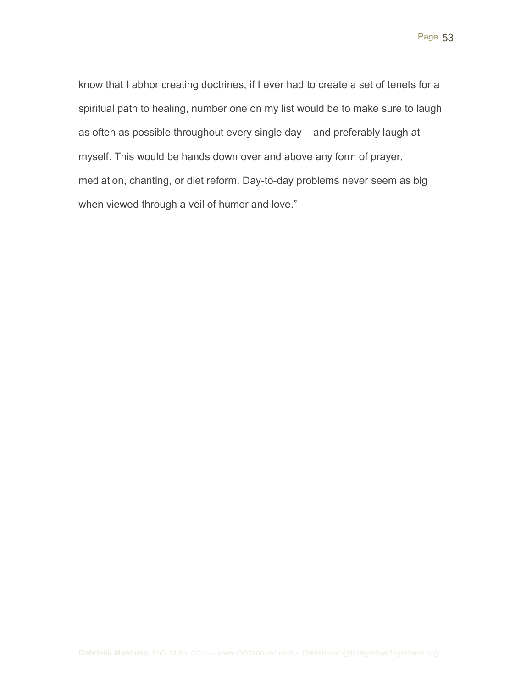know that I abhor creating doctrines, if I ever had to create a set of tenets for a spiritual path to healing, number one on my list would be to make sure to laugh as often as possible throughout every single day – and preferably laugh at myself. This would be hands down over and above any form of prayer, mediation, chanting, or diet reform. Day-to-day problems never seem as big when viewed through a veil of humor and love."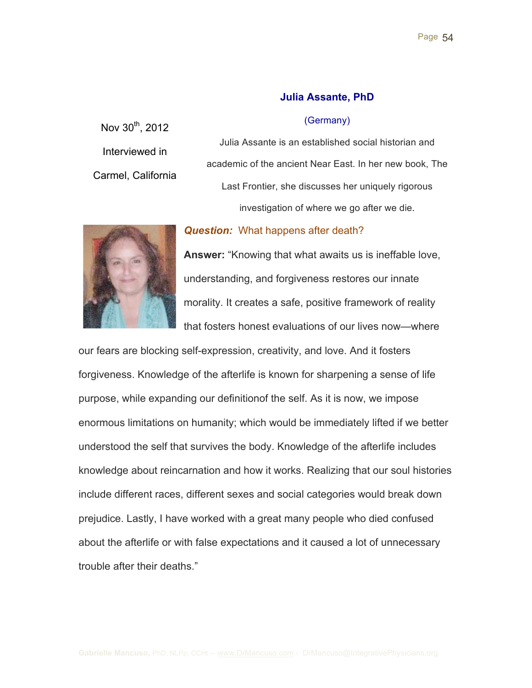### **Julia Assante, PhD**

#### (Germany)

Nov 30<sup>th</sup>, 2012 Interviewed in Carmel, California

Julia Assante is an established social historian and academic of the ancient Near East. In her new book, The Last Frontier, she discusses her uniquely rigorous investigation of where we go after we die.

### *Question:* What happens after death?



**Answer:** "Knowing that what awaits us is ineffable love, understanding, and forgiveness restores our innate morality. It creates a safe, positive framework of reality that fosters honest evaluations of our lives now—where

our fears are blocking self-expression, creativity, and love. And it fosters forgiveness. Knowledge of the afterlife is known for sharpening a sense of life purpose, while expanding our definitionof the self. As it is now, we impose enormous limitations on humanity; which would be immediately lifted if we better understood the self that survives the body. Knowledge of the afterlife includes knowledge about reincarnation and how it works. Realizing that our soul histories include different races, different sexes and social categories would break down prejudice. Lastly, I have worked with a great many people who died confused about the afterlife or with false expectations and it caused a lot of unnecessary trouble after their deaths."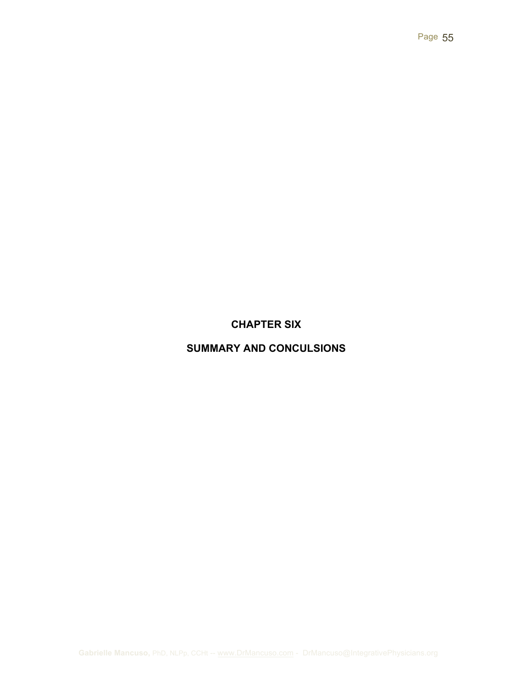# **CHAPTER SIX**

# **SUMMARY AND CONCULSIONS**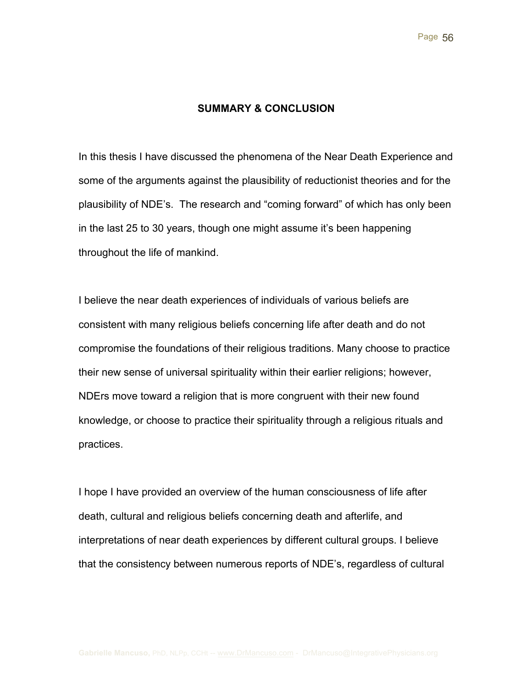#### **SUMMARY & CONCLUSION**

In this thesis I have discussed the phenomena of the Near Death Experience and some of the arguments against the plausibility of reductionist theories and for the plausibility of NDE's. The research and "coming forward" of which has only been in the last 25 to 30 years, though one might assume it's been happening throughout the life of mankind.

I believe the near death experiences of individuals of various beliefs are consistent with many religious beliefs concerning life after death and do not compromise the foundations of their religious traditions. Many choose to practice their new sense of universal spirituality within their earlier religions; however, NDErs move toward a religion that is more congruent with their new found knowledge, or choose to practice their spirituality through a religious rituals and practices.

I hope I have provided an overview of the human consciousness of life after death, cultural and religious beliefs concerning death and afterlife, and interpretations of near death experiences by different cultural groups. I believe that the consistency between numerous reports of NDE's, regardless of cultural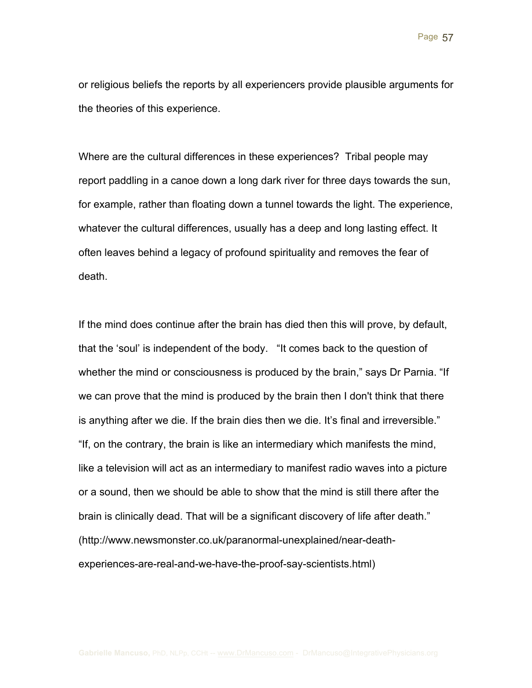or religious beliefs the reports by all experiencers provide plausible arguments for the theories of this experience.

Where are the cultural differences in these experiences? Tribal people may report paddling in a canoe down a long dark river for three days towards the sun, for example, rather than floating down a tunnel towards the light. The experience, whatever the cultural differences, usually has a deep and long lasting effect. It often leaves behind a legacy of profound spirituality and removes the fear of death.

If the mind does continue after the brain has died then this will prove, by default, that the 'soul' is independent of the body. "It comes back to the question of whether the mind or consciousness is produced by the brain," says Dr Parnia. "If we can prove that the mind is produced by the brain then I don't think that there is anything after we die. If the brain dies then we die. It's final and irreversible." "If, on the contrary, the brain is like an intermediary which manifests the mind, like a television will act as an intermediary to manifest radio waves into a picture or a sound, then we should be able to show that the mind is still there after the brain is clinically dead. That will be a significant discovery of life after death." (http://www.newsmonster.co.uk/paranormal-unexplained/near-deathexperiences-are-real-and-we-have-the-proof-say-scientists.html)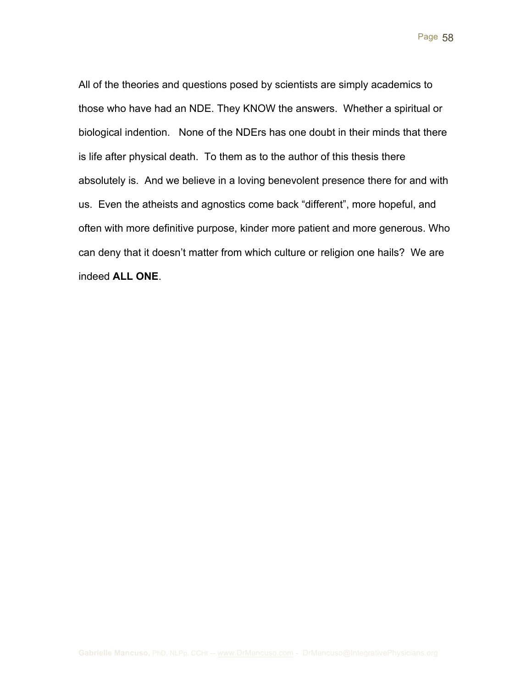All of the theories and questions posed by scientists are simply academics to those who have had an NDE. They KNOW the answers. Whether a spiritual or biological indention. None of the NDErs has one doubt in their minds that there is life after physical death. To them as to the author of this thesis there absolutely is. And we believe in a loving benevolent presence there for and with us. Even the atheists and agnostics come back "different", more hopeful, and often with more definitive purpose, kinder more patient and more generous. Who can deny that it doesn't matter from which culture or religion one hails? We are indeed **ALL ONE**.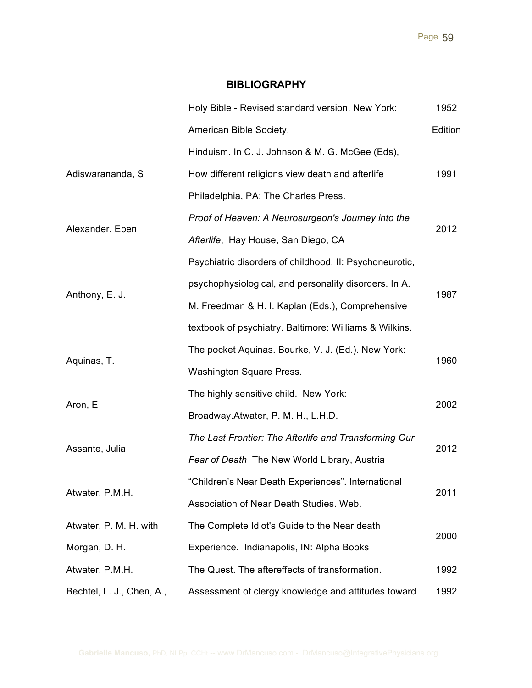### **BIBLIOGRAPHY**

|                           | Holy Bible - Revised standard version. New York:        | 1952    |
|---------------------------|---------------------------------------------------------|---------|
|                           | American Bible Society.                                 | Edition |
|                           | Hinduism. In C. J. Johnson & M. G. McGee (Eds),         |         |
| Adiswarananda, S          | How different religions view death and afterlife        | 1991    |
|                           | Philadelphia, PA: The Charles Press.                    |         |
|                           | Proof of Heaven: A Neurosurgeon's Journey into the      | 2012    |
| Alexander, Eben           | Afterlife, Hay House, San Diego, CA                     |         |
|                           | Psychiatric disorders of childhood. II: Psychoneurotic, |         |
| Anthony, E. J.            | psychophysiological, and personality disorders. In A.   | 1987    |
|                           | M. Freedman & H. I. Kaplan (Eds.), Comprehensive        |         |
|                           | textbook of psychiatry. Baltimore: Williams & Wilkins.  |         |
| Aquinas, T.               | The pocket Aquinas. Bourke, V. J. (Ed.). New York:      | 1960    |
|                           | Washington Square Press.                                |         |
| Aron, E                   | The highly sensitive child. New York:                   | 2002    |
|                           | Broadway.Atwater, P. M. H., L.H.D.                      |         |
| Assante, Julia            | The Last Frontier: The Afterlife and Transforming Our   | 2012    |
|                           | Fear of Death The New World Library, Austria            |         |
| Atwater, P.M.H.           | "Children's Near Death Experiences". International      | 2011    |
|                           | Association of Near Death Studies. Web.                 |         |
| Atwater, P. M. H. with    | The Complete Idiot's Guide to the Near death            | 2000    |
| Morgan, D. H.             | Experience. Indianapolis, IN: Alpha Books               |         |
| Atwater, P.M.H.           | The Quest. The aftereffects of transformation.          | 1992    |
| Bechtel, L. J., Chen, A., | Assessment of clergy knowledge and attitudes toward     | 1992    |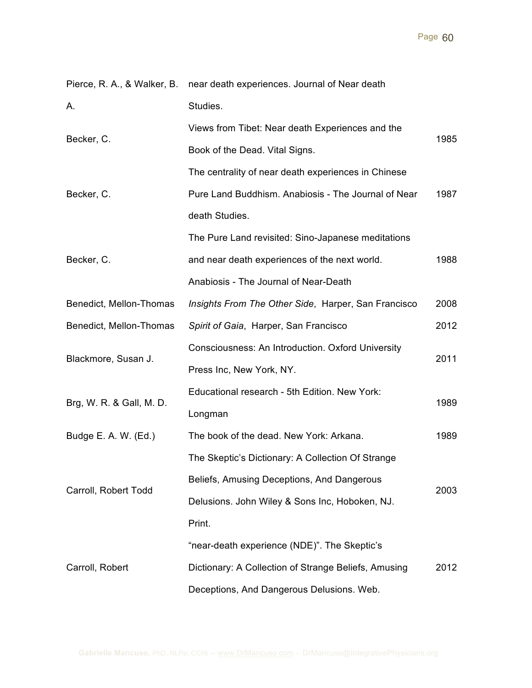|                          | Pierce, R. A., & Walker, B. near death experiences. Journal of Near death |      |
|--------------------------|---------------------------------------------------------------------------|------|
| Α.                       | Studies.                                                                  |      |
| Becker, C.               | Views from Tibet: Near death Experiences and the                          | 1985 |
|                          | Book of the Dead. Vital Signs.                                            |      |
|                          | The centrality of near death experiences in Chinese                       |      |
| Becker, C.               | Pure Land Buddhism. Anabiosis - The Journal of Near                       | 1987 |
|                          | death Studies.                                                            |      |
|                          | The Pure Land revisited: Sino-Japanese meditations                        |      |
| Becker, C.               | and near death experiences of the next world.                             | 1988 |
|                          | Anabiosis - The Journal of Near-Death                                     |      |
| Benedict, Mellon-Thomas  | Insights From The Other Side, Harper, San Francisco                       | 2008 |
| Benedict, Mellon-Thomas  | Spirit of Gaia, Harper, San Francisco                                     | 2012 |
| Blackmore, Susan J.      | Consciousness: An Introduction. Oxford University                         | 2011 |
|                          | Press Inc, New York, NY.                                                  |      |
| Brg, W. R. & Gall, M. D. | Educational research - 5th Edition. New York:                             | 1989 |
|                          | Longman                                                                   |      |
| Budge E. A. W. (Ed.)     | The book of the dead. New York: Arkana.                                   | 1989 |
|                          | The Skeptic's Dictionary: A Collection Of Strange                         |      |
| Carroll, Robert Todd     | Beliefs, Amusing Deceptions, And Dangerous                                | 2003 |
|                          | Delusions. John Wiley & Sons Inc, Hoboken, NJ.                            |      |
|                          | Print.                                                                    |      |
| Carroll, Robert          | "near-death experience (NDE)". The Skeptic's                              |      |
|                          | Dictionary: A Collection of Strange Beliefs, Amusing                      | 2012 |
|                          | Deceptions, And Dangerous Delusions. Web.                                 |      |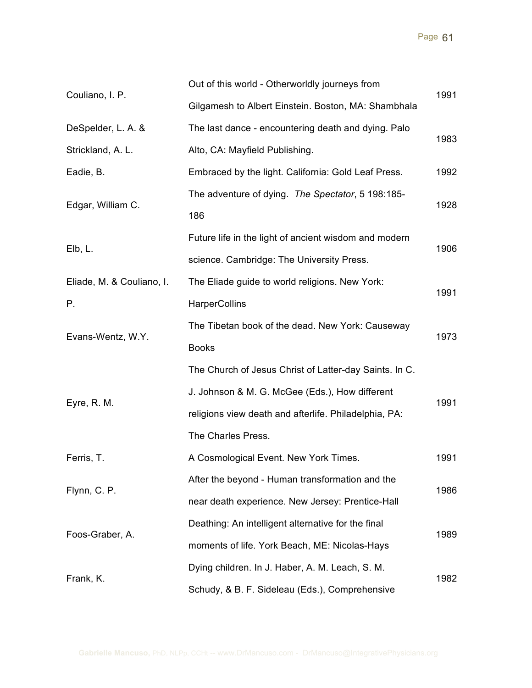| Couliano, I. P.           | Out of this world - Otherworldly journeys from         | 1991 |
|---------------------------|--------------------------------------------------------|------|
|                           | Gilgamesh to Albert Einstein. Boston, MA: Shambhala    |      |
| DeSpelder, L. A. &        | The last dance - encountering death and dying. Palo    | 1983 |
| Strickland, A. L.         | Alto, CA: Mayfield Publishing.                         |      |
| Eadie, B.                 | Embraced by the light. California: Gold Leaf Press.    | 1992 |
|                           | The adventure of dying. The Spectator, 5 198:185-      | 1928 |
| Edgar, William C.         | 186                                                    |      |
| Elb, L.                   | Future life in the light of ancient wisdom and modern  |      |
|                           | science. Cambridge: The University Press.              | 1906 |
| Eliade, M. & Couliano, I. | The Eliade guide to world religions. New York:         | 1991 |
| Р.                        | <b>HarperCollins</b>                                   |      |
|                           | The Tibetan book of the dead. New York: Causeway       | 1973 |
| Evans-Wentz, W.Y.         | <b>Books</b>                                           |      |
|                           | The Church of Jesus Christ of Latter-day Saints. In C. |      |
|                           | J. Johnson & M. G. McGee (Eds.), How different         |      |
| Eyre, R. M.               | religions view death and afterlife. Philadelphia, PA:  | 1991 |
|                           | The Charles Press.                                     |      |
| Ferris, T.                | A Cosmological Event. New York Times.                  | 1991 |
|                           | After the beyond - Human transformation and the        | 1986 |
| Flynn, C. P.              | near death experience. New Jersey: Prentice-Hall       |      |
| Foos-Graber, A.           | Deathing: An intelligent alternative for the final     | 1989 |
|                           | moments of life. York Beach, ME: Nicolas-Hays          |      |
| Frank, K.                 | Dying children. In J. Haber, A. M. Leach, S. M.        |      |
|                           |                                                        | 1982 |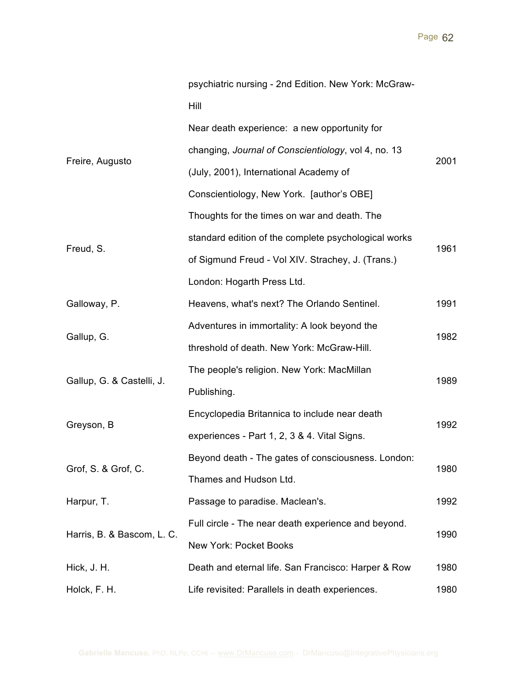|                            | psychiatric nursing - 2nd Edition. New York: McGraw- |      |
|----------------------------|------------------------------------------------------|------|
|                            | Hill                                                 |      |
| Freire, Augusto            | Near death experience: a new opportunity for         | 2001 |
|                            | changing, Journal of Conscientiology, vol 4, no. 13  |      |
|                            | (July, 2001), International Academy of               |      |
|                            | Conscientiology, New York. [author's OBE]            |      |
|                            | Thoughts for the times on war and death. The         |      |
|                            | standard edition of the complete psychological works |      |
| Freud, S.                  | of Sigmund Freud - Vol XIV. Strachey, J. (Trans.)    | 1961 |
|                            | London: Hogarth Press Ltd.                           |      |
| Galloway, P.               | Heavens, what's next? The Orlando Sentinel.          | 1991 |
|                            | Adventures in immortality: A look beyond the         | 1982 |
| Gallup, G.                 | threshold of death. New York: McGraw-Hill.           |      |
|                            | The people's religion. New York: MacMillan           | 1989 |
| Gallup, G. & Castelli, J.  | Publishing.                                          |      |
|                            | Encyclopedia Britannica to include near death        |      |
| Greyson, B                 | experiences - Part 1, 2, 3 & 4. Vital Signs.         | 1992 |
| Grof, S. & Grof, C.        | Beyond death - The gates of consciousness. London:   |      |
|                            | Thames and Hudson Ltd.                               | 1980 |
| Harpur, T.                 | Passage to paradise. Maclean's.                      | 1992 |
| Harris, B. & Bascom, L. C. | Full circle - The near death experience and beyond.  | 1990 |
|                            | <b>New York: Pocket Books</b>                        |      |
| Hick, J. H.                | Death and eternal life. San Francisco: Harper & Row  | 1980 |
| Holck, F. H.               | Life revisited: Parallels in death experiences.      | 1980 |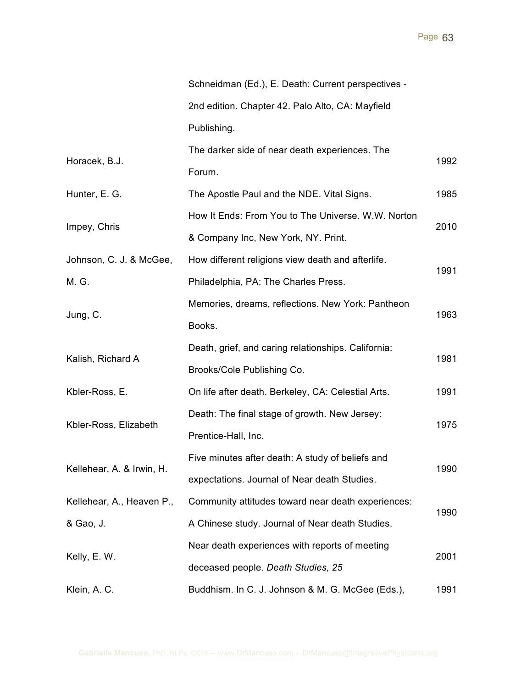|                           | Schneidman (Ed.), E. Death: Current perspectives -  |      |
|---------------------------|-----------------------------------------------------|------|
|                           | 2nd edition. Chapter 42. Palo Alto, CA: Mayfield    |      |
|                           | Publishing.                                         |      |
| Horacek, B.J.             | The darker side of near death experiences. The      |      |
|                           | Forum.                                              | 1992 |
| Hunter, E. G.             | The Apostle Paul and the NDE. Vital Signs.          | 1985 |
|                           | How It Ends: From You to The Universe. W.W. Norton  |      |
| Impey, Chris              | & Company Inc, New York, NY. Print.                 | 2010 |
| Johnson, C. J. & McGee,   | How different religions view death and afterlife.   |      |
| M. G.                     | Philadelphia, PA: The Charles Press.                | 1991 |
|                           | Memories, dreams, reflections. New York: Pantheon   | 1963 |
| Jung, C.                  | Books.                                              |      |
|                           | Death, grief, and caring relationships. California: | 1981 |
| Kalish, Richard A         | Brooks/Cole Publishing Co.                          |      |
| Kbler-Ross, E.            | On life after death. Berkeley, CA: Celestial Arts.  | 1991 |
|                           | Death: The final stage of growth. New Jersey:       | 1975 |
| Kbler-Ross, Elizabeth     | Prentice-Hall, Inc.                                 |      |
|                           | Five minutes after death: A study of beliefs and    | 1990 |
| Kellehear, A. & Irwin, H. | expectations. Journal of Near death Studies.        |      |
| Kellehear, A., Heaven P., | Community attitudes toward near death experiences:  | 1990 |
| & Gao, J.                 | A Chinese study. Journal of Near death Studies.     |      |
| Kelly, E. W.              | Near death experiences with reports of meeting      | 2001 |
|                           | deceased people. Death Studies, 25                  |      |
| Klein, A. C.              | Buddhism. In C. J. Johnson & M. G. McGee (Eds.),    | 1991 |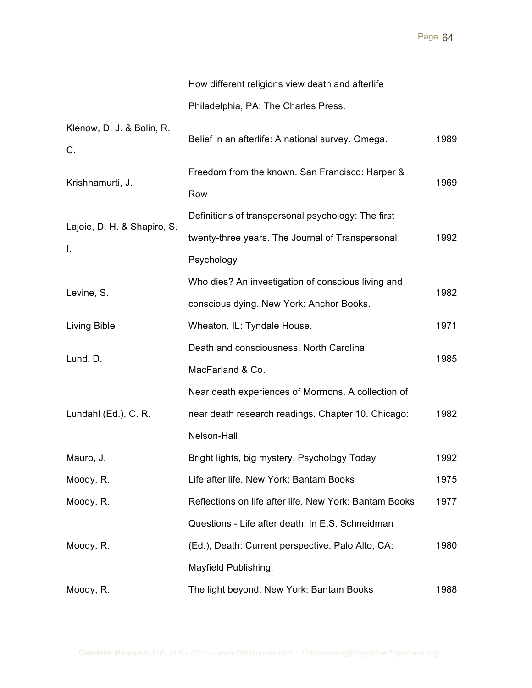|                                   | How different religions view death and afterlife                                                                        |      |
|-----------------------------------|-------------------------------------------------------------------------------------------------------------------------|------|
|                                   | Philadelphia, PA: The Charles Press.                                                                                    |      |
| Klenow, D. J. & Bolin, R.<br>C.   | Belief in an afterlife: A national survey. Omega.                                                                       | 1989 |
| Krishnamurti, J.                  | Freedom from the known. San Francisco: Harper &<br>Row                                                                  | 1969 |
| Lajoie, D. H. & Shapiro, S.<br>I. | Definitions of transpersonal psychology: The first<br>twenty-three years. The Journal of Transpersonal<br>Psychology    | 1992 |
| Levine, S.                        | Who dies? An investigation of conscious living and<br>conscious dying. New York: Anchor Books.                          | 1982 |
| Living Bible                      | Wheaton, IL: Tyndale House.                                                                                             | 1971 |
| Lund, D.                          | Death and consciousness. North Carolina:<br>MacFarland & Co.                                                            | 1985 |
| Lundahl (Ed.), C. R.              | Near death experiences of Mormons. A collection of<br>near death research readings. Chapter 10. Chicago:<br>Nelson-Hall | 1982 |
| Mauro, J.                         | Bright lights, big mystery. Psychology Today                                                                            | 1992 |
| Moody, R.                         | Life after life. New York: Bantam Books                                                                                 | 1975 |
| Moody, R.                         | Reflections on life after life. New York: Bantam Books                                                                  | 1977 |
|                                   | Questions - Life after death. In E.S. Schneidman                                                                        |      |
| Moody, R.                         | (Ed.), Death: Current perspective. Palo Alto, CA:                                                                       | 1980 |
|                                   | Mayfield Publishing.                                                                                                    |      |
| Moody, R.                         | The light beyond. New York: Bantam Books                                                                                | 1988 |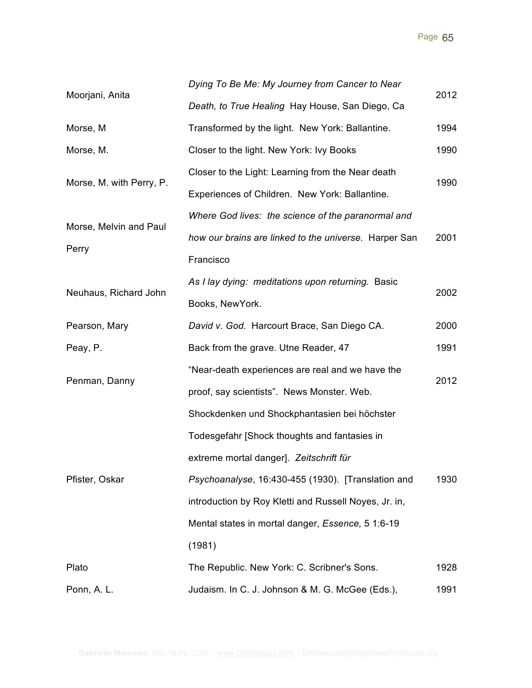| Moorjani, Anita          | Dying To Be Me: My Journey from Cancer to Near        |      |
|--------------------------|-------------------------------------------------------|------|
|                          | Death, to True Healing Hay House, San Diego, Ca       | 2012 |
| Morse, M                 | Transformed by the light. New York: Ballantine.       | 1994 |
| Morse, M.                | Closer to the light. New York: Ivy Books              | 1990 |
|                          | Closer to the Light: Learning from the Near death     | 1990 |
| Morse, M. with Perry, P. | Experiences of Children. New York: Ballantine.        |      |
|                          | Where God lives: the science of the paranormal and    |      |
| Morse, Melvin and Paul   | how our brains are linked to the universe. Harper San | 2001 |
| Perry                    | Francisco                                             |      |
| Neuhaus, Richard John    | As I lay dying: meditations upon returning. Basic     | 2002 |
|                          | Books, NewYork.                                       |      |
| Pearson, Mary            | David v. God. Harcourt Brace, San Diego CA.           | 2000 |
| Peay, P.                 | Back from the grave. Utne Reader, 47                  | 1991 |
|                          | "Near-death experiences are real and we have the      |      |
| Penman, Danny            | proof, say scientists". News Monster. Web.            | 2012 |
|                          | Shockdenken und Shockphantasien bei höchster          |      |
|                          | Todesgefahr [Shock thoughts and fantasies in          |      |
| Pfister, Oskar           | extreme mortal danger]. Zeitschrift für               |      |
|                          | Psychoanalyse, 16:430-455 (1930). [Translation and    | 1930 |
|                          | introduction by Roy Kletti and Russell Noyes, Jr. in, |      |
|                          | Mental states in mortal danger, Essence, 5 1:6-19     |      |
|                          | (1981)                                                |      |
| Plato                    | The Republic. New York: C. Scribner's Sons.           | 1928 |
| Ponn, A. L.              | Judaism. In C. J. Johnson & M. G. McGee (Eds.),       | 1991 |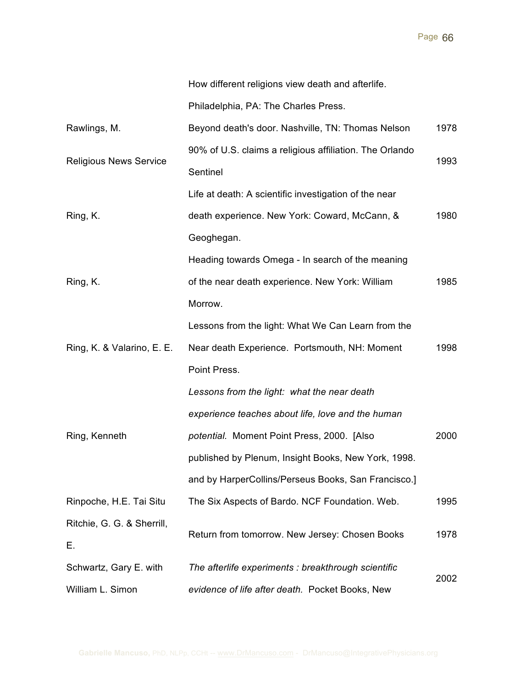| How different religions view death and afterlife. |  |  |  |
|---------------------------------------------------|--|--|--|
|                                                   |  |  |  |

Philadelphia, PA: The Charles Press.

| Rawlings, M.                     | Beyond death's door. Nashville, TN: Thomas Nelson                   | 1978 |
|----------------------------------|---------------------------------------------------------------------|------|
| <b>Religious News Service</b>    | 90% of U.S. claims a religious affiliation. The Orlando<br>Sentinel |      |
|                                  |                                                                     |      |
| Ring, K.                         | death experience. New York: Coward, McCann, &                       | 1980 |
|                                  | Geoghegan.                                                          |      |
|                                  | Heading towards Omega - In search of the meaning                    |      |
| Ring, K.                         | of the near death experience. New York: William                     | 1985 |
|                                  | Morrow.                                                             |      |
|                                  | Lessons from the light: What We Can Learn from the                  |      |
| Ring, K. & Valarino, E. E.       | Near death Experience. Portsmouth, NH: Moment                       | 1998 |
|                                  | Point Press.                                                        |      |
|                                  | Lessons from the light: what the near death                         |      |
|                                  | experience teaches about life, love and the human                   |      |
| Ring, Kenneth                    | potential. Moment Point Press, 2000. [Also                          | 2000 |
|                                  | published by Plenum, Insight Books, New York, 1998.                 |      |
|                                  | and by HarperCollins/Perseus Books, San Francisco.]                 |      |
| Rinpoche, H.E. Tai Situ          | The Six Aspects of Bardo. NCF Foundation. Web.                      | 1995 |
| Ritchie, G. G. & Sherrill,<br>Ε. | Return from tomorrow. New Jersey: Chosen Books                      | 1978 |
| Schwartz, Gary E. with           | The afterlife experiments : breakthrough scientific                 | 2002 |
| William L. Simon                 | evidence of life after death. Pocket Books, New                     |      |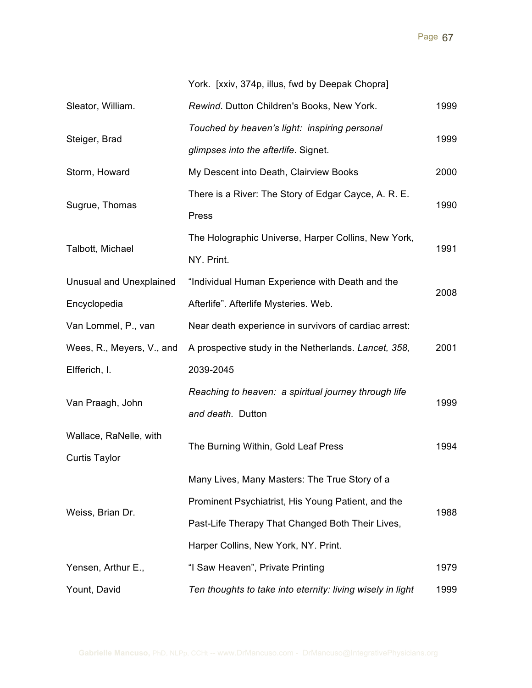|                                | York. [xxiv, 374p, illus, fwd by Deepak Chopra]       |      |  |
|--------------------------------|-------------------------------------------------------|------|--|
| Sleator, William.              | Rewind. Dutton Children's Books, New York.            | 1999 |  |
| Steiger, Brad                  | Touched by heaven's light: inspiring personal         |      |  |
|                                | glimpses into the afterlife. Signet.                  |      |  |
| Storm, Howard                  | My Descent into Death, Clairview Books                | 2000 |  |
| Sugrue, Thomas                 | There is a River: The Story of Edgar Cayce, A. R. E.  |      |  |
|                                | Press                                                 | 1990 |  |
| Talbott, Michael               | The Holographic Universe, Harper Collins, New York,   |      |  |
|                                | NY. Print.                                            | 1991 |  |
| <b>Unusual and Unexplained</b> | "Individual Human Experience with Death and the       | 2008 |  |
| Encyclopedia                   | Afterlife". Afterlife Mysteries. Web.                 |      |  |
| Van Lommel, P., van            | Near death experience in survivors of cardiac arrest: |      |  |
| Wees, R., Meyers, V., and      | A prospective study in the Netherlands. Lancet, 358,  | 2001 |  |
|                                |                                                       |      |  |
| Elfferich, I.                  | 2039-2045                                             |      |  |
|                                | Reaching to heaven: a spiritual journey through life  |      |  |
| Van Praagh, John               | and death. Dutton                                     | 1999 |  |
| Wallace, RaNelle, with         |                                                       |      |  |
| <b>Curtis Taylor</b>           | The Burning Within, Gold Leaf Press                   | 1994 |  |
|                                | Many Lives, Many Masters: The True Story of a         |      |  |
|                                | Prominent Psychiatrist, His Young Patient, and the    |      |  |
| Weiss, Brian Dr.               | Past-Life Therapy That Changed Both Their Lives,      | 1988 |  |
|                                | Harper Collins, New York, NY. Print.                  |      |  |
| Yensen, Arthur E.,             | "I Saw Heaven", Private Printing                      | 1979 |  |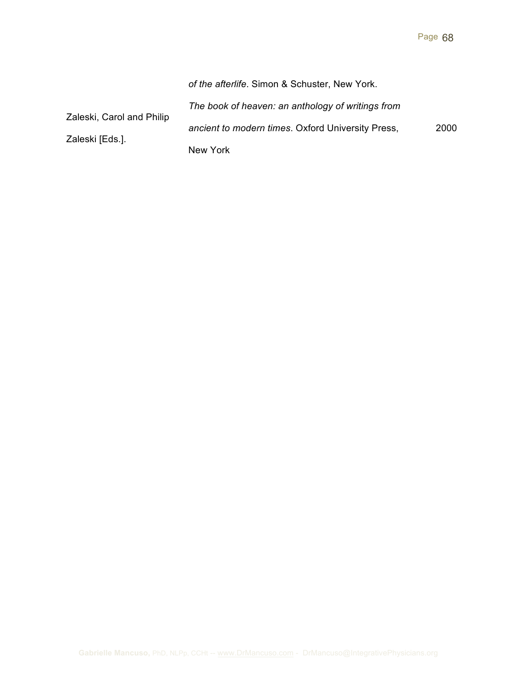|                           | of the afterlife. Simon & Schuster, New York.     |      |  |
|---------------------------|---------------------------------------------------|------|--|
| Zaleski, Carol and Philip | The book of heaven: an anthology of writings from |      |  |
|                           | ancient to modern times. Oxford University Press, | 2000 |  |
| Zaleski [Eds.].           | New York                                          |      |  |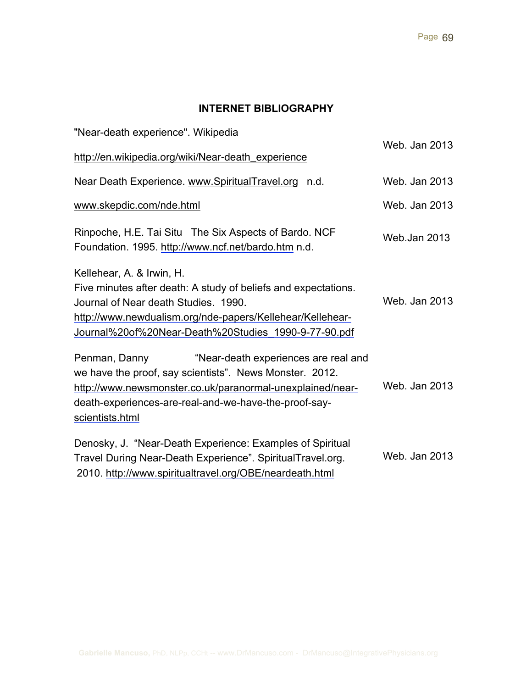# **INTERNET BIBLIOGRAPHY**

| "Near-death experience". Wikipedia                                                                                                                                                                                                                        | Web. Jan 2013 |
|-----------------------------------------------------------------------------------------------------------------------------------------------------------------------------------------------------------------------------------------------------------|---------------|
| http://en.wikipedia.org/wiki/Near-death_experience                                                                                                                                                                                                        |               |
| Near Death Experience. www.SpiritualTravel.org n.d.                                                                                                                                                                                                       | Web. Jan 2013 |
| www.skepdic.com/nde.html                                                                                                                                                                                                                                  | Web. Jan 2013 |
| Rinpoche, H.E. Tai Situ The Six Aspects of Bardo. NCF<br>Foundation. 1995. http://www.ncf.net/bardo.htm n.d.                                                                                                                                              | Web.Jan 2013  |
| Kellehear, A. & Irwin, H.                                                                                                                                                                                                                                 |               |
| Five minutes after death: A study of beliefs and expectations.<br>Journal of Near death Studies. 1990.                                                                                                                                                    | Web. Jan 2013 |
| http://www.newdualism.org/nde-papers/Kellehear/Kellehear-<br>Journal%20of%20Near-Death%20Studies 1990-9-77-90.pdf                                                                                                                                         |               |
| Penman, Danny<br>"Near-death experiences are real and<br>we have the proof, say scientists". News Monster. 2012.<br>http://www.newsmonster.co.uk/paranormal-unexplained/near-<br>death-experiences-are-real-and-we-have-the-proof-say-<br>scientists.html | Web. Jan 2013 |
| Denosky, J. "Near-Death Experience: Examples of Spiritual<br>Travel During Near-Death Experience". SpiritualTravel.org.<br>2010. http://www.spiritualtravel.org/OBE/neardeath.html                                                                        | Web. Jan 2013 |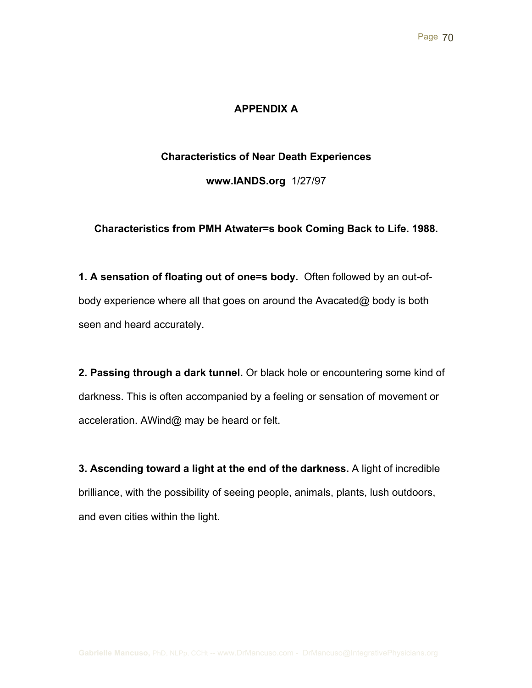## **APPENDIX A**

#### **Characteristics of Near Death Experiences**

**www.IANDS.org** 1/27/97

#### **Characteristics from PMH Atwater=s book Coming Back to Life. 1988.**

**1. A sensation of floating out of one=s body.** Often followed by an out-ofbody experience where all that goes on around the Avacated@ body is both seen and heard accurately.

**2. Passing through a dark tunnel.** Or black hole or encountering some kind of darkness. This is often accompanied by a feeling or sensation of movement or acceleration. AWind@ may be heard or felt.

**3. Ascending toward a light at the end of the darkness.** A light of incredible brilliance, with the possibility of seeing people, animals, plants, lush outdoors, and even cities within the light.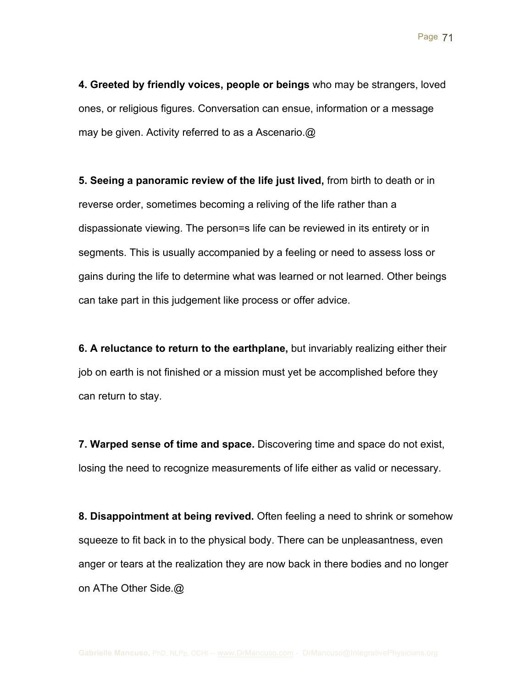**4. Greeted by friendly voices, people or beings** who may be strangers, loved ones, or religious figures. Conversation can ensue, information or a message may be given. Activity referred to as a Ascenario.@

**5. Seeing a panoramic review of the life just lived,** from birth to death or in reverse order, sometimes becoming a reliving of the life rather than a dispassionate viewing. The person=s life can be reviewed in its entirety or in segments. This is usually accompanied by a feeling or need to assess loss or gains during the life to determine what was learned or not learned. Other beings can take part in this judgement like process or offer advice.

**6. A reluctance to return to the earthplane,** but invariably realizing either their job on earth is not finished or a mission must yet be accomplished before they can return to stay.

**7. Warped sense of time and space.** Discovering time and space do not exist, losing the need to recognize measurements of life either as valid or necessary.

**8. Disappointment at being revived.** Often feeling a need to shrink or somehow squeeze to fit back in to the physical body. There can be unpleasantness, even anger or tears at the realization they are now back in there bodies and no longer on AThe Other Side.@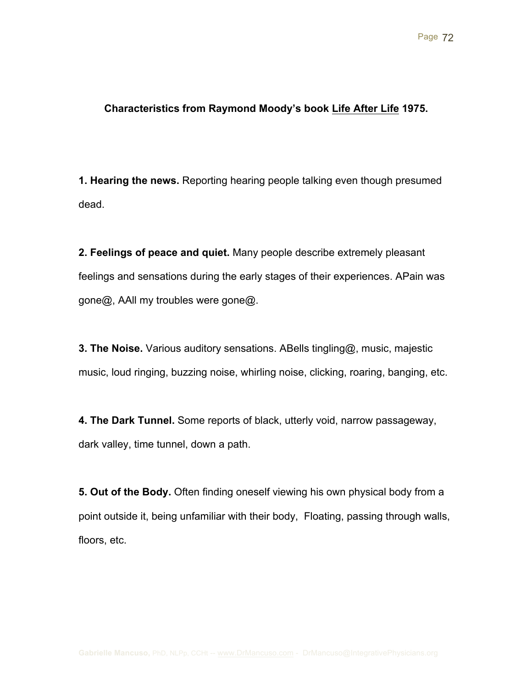### **Characteristics from Raymond Moody's book Life After Life 1975.**

**1. Hearing the news.** Reporting hearing people talking even though presumed dead.

**2. Feelings of peace and quiet.** Many people describe extremely pleasant feelings and sensations during the early stages of their experiences. APain was gone@, AAll my troubles were gone@.

**3. The Noise.** Various auditory sensations. ABells tingling@, music, majestic music, loud ringing, buzzing noise, whirling noise, clicking, roaring, banging, etc.

**4. The Dark Tunnel.** Some reports of black, utterly void, narrow passageway, dark valley, time tunnel, down a path.

**5. Out of the Body.** Often finding oneself viewing his own physical body from a point outside it, being unfamiliar with their body, Floating, passing through walls, floors, etc.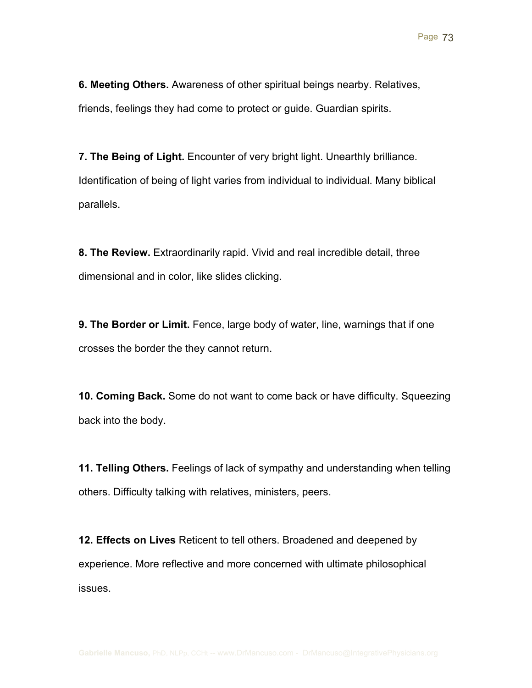**6. Meeting Others.** Awareness of other spiritual beings nearby. Relatives, friends, feelings they had come to protect or guide. Guardian spirits.

**7. The Being of Light.** Encounter of very bright light. Unearthly brilliance. Identification of being of light varies from individual to individual. Many biblical parallels.

**8. The Review.** Extraordinarily rapid. Vivid and real incredible detail, three dimensional and in color, like slides clicking.

**9. The Border or Limit.** Fence, large body of water, line, warnings that if one crosses the border the they cannot return.

**10. Coming Back.** Some do not want to come back or have difficulty. Squeezing back into the body.

**11. Telling Others.** Feelings of lack of sympathy and understanding when telling others. Difficulty talking with relatives, ministers, peers.

**12. Effects on Lives** Reticent to tell others. Broadened and deepened by experience. More reflective and more concerned with ultimate philosophical issues.